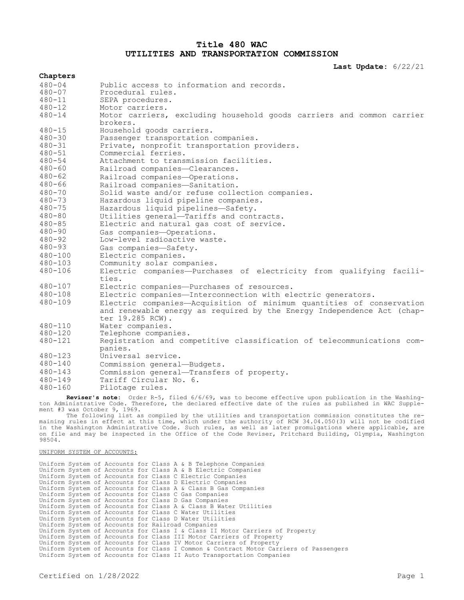# **Title 480 WAC UTILITIES AND TRANSPORTATION COMMISSION**

**Last Update:** 6/22/21

| Chapters    |                                                                                                                                                                    |
|-------------|--------------------------------------------------------------------------------------------------------------------------------------------------------------------|
|             |                                                                                                                                                                    |
| $480 - 04$  | Public access to information and records.                                                                                                                          |
| $480 - 07$  | Procedural rules.                                                                                                                                                  |
| $480 - 11$  | SEPA procedures.                                                                                                                                                   |
| $480 - 12$  | Motor carriers.                                                                                                                                                    |
| $480 - 14$  | Motor carriers, excluding household goods carriers and common carrier<br>brokers.                                                                                  |
| $480 - 15$  | Household goods carriers.                                                                                                                                          |
| $480 - 30$  | Passenger transportation companies.                                                                                                                                |
| $480 - 31$  | Private, nonprofit transportation providers.                                                                                                                       |
| $480 - 51$  | Commercial ferries.                                                                                                                                                |
| $480 - 54$  | Attachment to transmission facilities.                                                                                                                             |
| $480 - 60$  | Railroad companies-Clearances.                                                                                                                                     |
| $480 - 62$  | Railroad companies-Operations.                                                                                                                                     |
| $480 - 66$  | Railroad companies-Sanitation.                                                                                                                                     |
| $480 - 70$  | Solid waste and/or refuse collection companies.                                                                                                                    |
| $480 - 73$  | Hazardous liquid pipeline companies.                                                                                                                               |
| $480 - 75$  | Hazardous liquid pipelines-Safety.                                                                                                                                 |
| $480 - 80$  | Utilities general-Tariffs and contracts.                                                                                                                           |
| $480 - 85$  | Electric and natural gas cost of service.                                                                                                                          |
| $480 - 90$  | Gas companies-Operations.                                                                                                                                          |
| $480 - 92$  | Low-level radioactive waste.                                                                                                                                       |
| $480 - 93$  | Gas companies-Safety.                                                                                                                                              |
| $480 - 100$ | Electric companies.                                                                                                                                                |
| $480 - 103$ | Community solar companies.                                                                                                                                         |
| $480 - 106$ | Electric companies--Purchases of electricity from qualifying facili-<br>ties.                                                                                      |
| $480 - 107$ | Electric companies-Purchases of resources.                                                                                                                         |
| 480-108     | Electric companies-Interconnection with electric generators.                                                                                                       |
| $480 - 109$ | Electric companies-Acquisition of minimum quantities of conservation<br>and renewable energy as required by the Energy Independence Act (chap-<br>ter 19.285 RCW). |
| $480 - 110$ | Water companies.                                                                                                                                                   |
| $480 - 120$ | Telephone companies.                                                                                                                                               |
| $480 - 121$ | Registration and competitive classification of telecommunications com-<br>panies.                                                                                  |
| $480 - 123$ | Universal service.                                                                                                                                                 |
| $480 - 140$ | Commission general-Budgets.                                                                                                                                        |
| $480 - 143$ | Commission general-Transfers of property.                                                                                                                          |
| $480 - 149$ | Tariff Circular No. 6.                                                                                                                                             |
| $480 - 160$ | Pilotage rules.                                                                                                                                                    |
|             | <b>Povicerle note:</b> Order P-5, filed 6/6/69, was to become effective upon publication in the Mashing-                                                           |

**Reviser's note:** Order R-5, filed 6/6/69, was to become effective upon publication in the Washington Administrative Code. Therefore, the declared effective date of the rules as published in WAC Supplement #3 was October 9, 1969.

The following list as compiled by the utilities and transportation commission constitutes the remaining rules in effect at this time, which under the authority of RCW 34.04.050(3) will not be codified in the Washington Administrative Code. Such rules, as well as later promulgations where applicable, are on file and may be inspected in the Office of the Code Reviser, Pritchard Building, Olympia, Washington 98504.

UNIFORM SYSTEM OF ACCOUNTS:

Uniform System of Accounts for Class A & B Telephone Companies Uniform System of Accounts for Class A & B Electric Companies Uniform System of Accounts for Class C Electric Companies Uniform System of Accounts for Class D Electric Companies Uniform System of Accounts for Class A & Class B Gas Companies Uniform System of Accounts for Class C Gas Companies Uniform System of Accounts for Class D Gas Companies Uniform System of Accounts for Class A & Class B Water Utilities Uniform System of Accounts for Class C Water Utilities Uniform System of Accounts for Class D Water Utilities Uniform System of Accounts for Railroad Companies Uniform System of Accounts for Class I & Class II Motor Carriers of Property Uniform System of Accounts for Class III Motor Carriers of Property Uniform System of Accounts for Class IV Motor Carriers of Property Uniform System of Accounts for Class I Common & Contract Motor Carriers of Passengers Uniform System of Accounts for Class II Auto Transportation Companies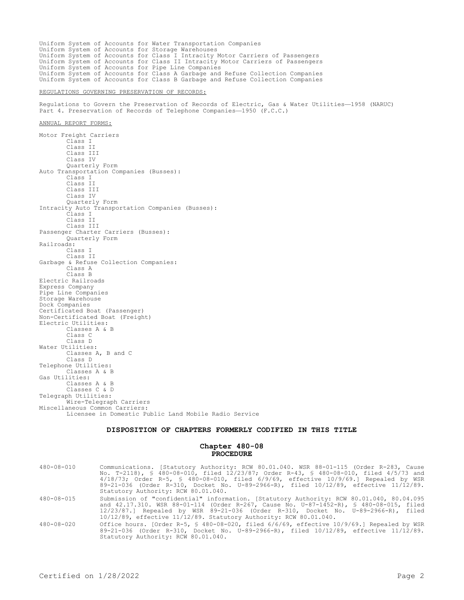Uniform System of Accounts for Water Transportation Companies Uniform System of Accounts for Storage Warehouses Uniform System of Accounts for Class I Intracity Motor Carriers of Passengers Uniform System of Accounts for Class II Intracity Motor Carriers of Passengers Uniform System of Accounts for Pipe Line Companies Uniform System of Accounts for Class A Garbage and Refuse Collection Companies Uniform System of Accounts for Class B Garbage and Refuse Collection Companies REGULATIONS GOVERNING PRESERVATION OF RECORDS: Regulations to Govern the Preservation of Records of Electric, Gas & Water Utilities—1958 (NARUC) Part 4. Preservation of Records of Telephone Companies—1950 (F.C.C.) ANNUAL REPORT FORMS: Motor Freight Carriers Class I Class II

Class III Class IV Quarterly Form Auto Transportation Companies (Busses): Class I Class II Class III Class IV Quarterly Form Intracity Auto Transportation Companies (Busses): Class I Class II Class III Passenger Charter Carriers (Busses): Quarterly Form Railroads: Class I Class II Garbage & Refuse Collection Companies: Class A Class B Electric Railroads Express Company Pipe Line Companies Storage Warehouse Dock Companies Certificated Boat (Passenger) Non-Certificated Boat (Freight) Electric Utilities: Classes A & B Class C Class D Water Utilities: Classes A, B and C Class D Telephone Utilities: Classes A & B Gas Utilities: Classes A & B Classes C & D Telegraph Utilities: Wire-Telegraph Carriers Miscellaneous Common Carriers: Licensee in Domestic Public Land Mobile Radio Service

## **DISPOSITION OF CHAPTERS FORMERLY CODIFIED IN THIS TITLE**

#### **Chapter 480-08 PROCEDURE**

| 480-08-010 | Communications. [Statutory Authority: RCW 80.01.040. WSR 88-01-115 (Order R-283, Cause<br>No. T-2118), § 480-08-010, filed 12/23/87; Order R-43, § 480-08-010, filed 4/5/73 and<br>$4/18/73$ ; Order R-5, § 480-08-010, filed 6/9/69, effective 10/9/69.1 Repealed by WSR<br>89-21-036 (Order R-310, Docket No. U-89-2966-R), filed 10/12/89, effective 11/12/89.<br>Statutory Authority: RCW 80.01.040. |
|------------|----------------------------------------------------------------------------------------------------------------------------------------------------------------------------------------------------------------------------------------------------------------------------------------------------------------------------------------------------------------------------------------------------------|
| 480-08-015 | Submission of "confidential" information. [Statutory Authority: RCW 80.01.040, 80.04.095<br>and 42.17.310. WSR 88-01-114 (Order R-267, Cause No. U-87-1452-R), § 480-08-015, filed<br>12/23/87.1 Repealed by WSR 89-21-036 (Order R-310, Docket No. U-89-2966-R), filed<br>$10/12/89$ , effective $11/12/89$ . Statutory Authority: RCW 80.01.040.                                                       |
| 480-08-020 | Office hours. [Order R-5, § 480-08-020, filed 6/6/69, effective 10/9/69.] Repealed by WSR<br>89-21-036 (Order R-310, Docket No. U-89-2966-R), filed 10/12/89, effective 11/12/89.<br>Statutory Authority: RCW 80.01.040.                                                                                                                                                                                 |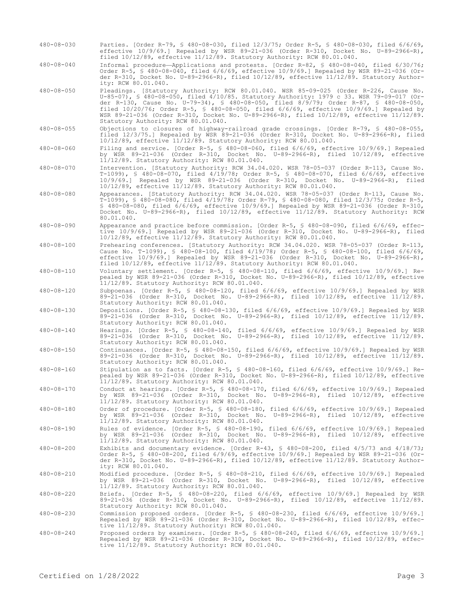- 480-08-030 Parties. [Order R-79, § 480-08-030, filed 12/3/75; Order R-5, § 480-08-030, filed 6/6/69, effective 10/9/69.] Repealed by WSR 89-21-036 (Order R-310, Docket No. U-89-2966-R), filed 10/12/89, effective 11/12/89. Statutory Authority: RCW 80.01.040.
- 480-08-040 Informal procedure—Applications and protests. [Order R-82, § 480-08-040, filed 6/30/76; Order R-5, § 480-08-040, filed 6/6/69, effective 10/9/69.] Repealed by WSR 89-21-036 (Order R-310, Docket No. U-89-2966-R), filed 10/12/89, effective 11/12/89. Statutory Authority: RCW 80.01.040.
- 480-08-050 Pleadings. [Statutory Authority: RCW 80.01.040. WSR 85-09-025 (Order R-226, Cause No. U-85-07), § 480-08-050, filed 4/10/85. Statutory Authority: 1979 c 33. WSR 79-09-017 (Order R-130, Cause No. U-79-34), § 480-08-050, filed 8/9/79; Order R-87, § 480-08-050, filed 10/20/76; Order R-5, § 480-08-050, filed 6/6/69, effective 10/9/69.] Repealed by WSR 89-21-036 (Order R-310, Docket No. U-89-2966-R), filed 10/12/89, effective 11/12/89. Statutory Authority: RCW 80.01.040.
- 480-08-055 Objections to closures of highway-railroad grade crossings. [Order R-79, § 480-08-055, filed 12/3/75.] Repealed by WSR 89-21-036 (Order R-310, Docket No. U-89-2966-R), filed 10/12/89, effective 11/12/89. Statutory Authority: RCW 80.01.040.
- 480-08-060 Filing and service. [Order R-5, § 480-08-060, filed 6/6/69, effective 10/9/69.] Repealed by WSR 89-21-036 (Order R-310, Docket No. U-89-2966-R), filed 10/12/89, effective 11/12/89. Statutory Authority: RCW 80.01.040.
- 480-08-070 Intervention. [Statutory Authority: RCW 34.04.020. WSR 78-05-037 (Order R-113, Cause No. T-1099), § 480-08-070, filed 4/19/78; Order R-5, § 480-08-070, filed 6/6/69, effective 10/9/69.] Repealed by WSR 89-21-036 (Order R-310, Docket No. U-89-2966-R), filed 10/12/89, effective 11/12/89. Statutory Authority: RCW 80.01.040.
- 480-08-080 Appearances. [Statutory Authority: RCW 34.04.020. WSR 78-05-037 (Order R-113, Cause No. T-1099), § 480-08-080, filed 4/19/78; Order R-79, § 480-08-080, filed 12/3/75; Order R-5, § 480-08-080, filed 6/6/69, effective 10/9/69.] Repealed by WSR 89-21-036 (Order R-310, Docket No. U-89-2966-R), filed 10/12/89, effective 11/12/89. Statutory Authority: RCW 80.01.040.
- 480-08-090 Appearance and practice before commission. [Order R-5, § 480-08-090, filed 6/6/69, effective 10/9/69.] Repealed by WSR 89-21-036 (Order R-310, Docket No. U-89-2966-R), filed 10/12/89, effective 11/12/89. Statutory Authority: RCW 80.01.040.
- 480-08-100 Prehearing conferences. [Statutory Authority: RCW 34.04.020. WSR 78-05-037 (Order R-113, Cause No. T-1099), § 480-08-100, filed 4/19/78; Order R-5, § 480-08-100, filed 6/6/69, effective 10/9/69.] Repealed by WSR 89-21-036 (Order R-310, Docket No. U-89-2966-R), filed 10/12/89, effective 11/12/89. Statutory Authority: RCW 80.01.040.
- 480-08-110 Voluntary settlement. [Order R-5, § 480-08-110, filed 6/6/69, effective 10/9/69.] Repealed by WSR 89-21-036 (Order R-310, Docket No. U-89-2966-R), filed 10/12/89, effective 11/12/89. Statutory Authority: RCW 80.01.040.
- 480-08-120 Subpoenas. [Order R-5, § 480-08-120, filed 6/6/69, effective 10/9/69.] Repealed by WSR 89-21-036 (Order R-310, Docket No. U-89-2966-R), filed 10/12/89, effective 11/12/89. Statutory Authority: RCW 80.01.040.
- 480-08-130 Depositions. [Order R-5, § 480-08-130, filed 6/6/69, effective 10/9/69.] Repealed by WSR 89-21-036 (Order R-310, Docket No. U-89-2966-R), filed 10/12/89, effective 11/12/89. Statutory Authority: RCW 80.01.040.
- 480-08-140 Hearings. [Order R-5, § 480-08-140, filed 6/6/69, effective 10/9/69.] Repealed by WSR 89-21-036 (Order R-310, Docket No. U-89-2966-R), filed 10/12/89, effective 11/12/89. Statutory Authority: RCW 80.01.040.
- 480-08-150 Continuances. [Order R-5, § 480-08-150, filed 6/6/69, effective 10/9/69.] Repealed by WSR 89-21-036 (Order R-310, Docket No. U-89-2966-R), filed 10/12/89, effective 11/12/89. Statutory Authority: RCW 80.01.040.
- 480-08-160 Stipulation as to facts. [Order R-5, § 480-08-160, filed 6/6/69, effective 10/9/69.] Repealed by WSR 89-21-036 (Order R-310, Docket No. U-89-2966-R), filed 10/12/89, effective 11/12/89. Statutory Authority: RCW 80.01.040.
- 480-08-170 Conduct at hearings. [Order R-5, § 480-08-170, filed 6/6/69, effective 10/9/69.] Repealed by WSR 89-21-036 (Order R-310, Docket No. U-89-2966-R), filed 10/12/89, effective 11/12/89. Statutory Authority: RCW 80.01.040.
- 480-08-180 Order of procedure. [Order R-5, § 480-08-180, filed 6/6/69, effective 10/9/69.] Repealed by WSR 89-21-036 (Order R-310, Docket No. U-89-2966-R), filed 10/12/89, effective 11/12/89. Statutory Authority: RCW 80.01.040.
- 480-08-190 Rules of evidence. [Order R-5, § 480-08-190, filed 6/6/69, effective 10/9/69.] Repealed by WSR 89-21-036 (Order R-310, Docket No. U-89-2966-R), filed 10/12/89, effective 11/12/89. Statutory Authority: RCW 80.01.040.
- 480-08-200 Exhibits and documentary evidence. [Order R-43, § 480-08-200, filed 4/5/73 and 4/18/73; Order R-5, § 480-08-200, filed 6/9/69, effective 10/9/69.] Repealed by WSR 89-21-036 (Order R-310, Docket No. U-89-2966-R), filed 10/12/89, effective 11/12/89. Statutory Authority: RCW 80.01.040.
- 480-08-210 Modified procedure. [Order R-5, § 480-08-210, filed 6/6/69, effective 10/9/69.] Repealed by WSR 89-21-036 (Order R-310, Docket No. U-89-2966-R), filed 10/12/89, effective 11/12/89. Statutory Authority: RCW 80.01.040.
- 480-08-220 Briefs. [Order R-5, § 480-08-220, filed 6/6/69, effective 10/9/69.] Repealed by WSR 89-21-036 (Order R-310, Docket No. U-89-2966-R), filed 10/12/89, effective 11/12/89. Statutory Authority: RCW 80.01.040.
- 480-08-230 Commission proposed orders. [Order R-5, § 480-08-230, filed 6/6/69, effective 10/9/69.] Repealed by WSR 89-21-036 (Order R-310, Docket No. U-89-2966-R), filed 10/12/89, effective 11/12/89. Statutory Authority: RCW 80.01.040.
- 480-08-240 Proposed orders by examiners. [Order R-5, § 480-08-240, filed 6/6/69, effective 10/9/69.] Repealed by WSR 89-21-036 (Order R-310, Docket No. U-89-2966-R), filed 10/12/89, effective 11/12/89. Statutory Authority: RCW 80.01.040.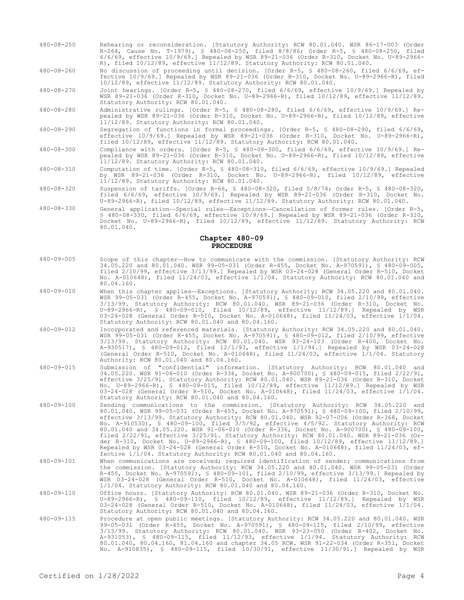480-08-250 Rehearing or reconsideration. [Statutory Authority: RCW 80.01.040. WSR 86-17-003 (Order R-264, Cause No. T-1979), § 480-08-250, filed 8/8/86; Order R-5, § 480-08-250, filed 6/6/69, effective 10/9/69.] Repealed by WSR 89-21-036 (Order R-310, Docket No. U-89-2966- R), filed 10/12/89, effective 11/12/89. Statutory Authority: RCW 80.01.040.

480-08-260 No discussion of proceeding until decision. [Order R-5, § 480-08-260, filed 6/6/69, effective 10/9/69.] Repealed by WSR 89-21-036 (Order R-310, Docket No. U-89-2966-R), filed 10/12/89, effective 11/12/89. Statutory Authority: RCW 80.01.040.

480-08-270 Joint hearings. [Order R-5, § 480-08-270, filed 6/6/69, effective 10/9/69.] Repealed by WSR 89-21-036 (Order R-310, Docket No. U-89-2966-R), filed 10/12/89, effective 11/12/89. Statutory Authority: RCW 80.01.040.

- 480-08-280 Administrative rulings. [Order R-5, § 480-08-280, filed 6/6/69, effective 10/9/69.] Repealed by WSR 89-21-036 (Order R-310, Docket No. U-89-2966-R), filed 10/12/89, effective 11/12/89. Statutory Authority: RCW 80.01.040.
- 480-08-290 Segregation of functions in formal proceedings. [Order R-5, § 480-08-290, filed 6/6/69, effective 10/9/69.] Repealed by WSR 89-21-036 (Order R-310, Docket No. U-89-2966-R), filed 10/12/89, effective 11/12/89. Statutory Authority: RCW 80.01.040.
- 480-08-300 Compliance with orders. [Order R-5, § 480-08-300, filed 6/6/69, effective 10/9/69.] Repealed by WSR 89-21-036 (Order R-310, Docket No. U-89-2966-R), filed 10/12/89, effective 11/12/89. Statutory Authority: RCW 80.01.040.
- 480-08-310 Computation of time. [Order R-5, § 480-08-310, filed 6/6/69, effective 10/9/69.] Repealed by WSR 89-21-036 (Order R-310, Docket No. U-89-2966-R), filed 10/12/89, effective 11/12/89. Statutory Authority: RCW 80.01.040.
- 480-08-320 Suspension of tariffs. [Order R-66, § 480-08-320, filed 5/8/74; Order R-5, § 480-08-320, filed 6/6/69, effective 10/9/69.] Repealed by WSR 89-21-036 (Order R-310, Docket No. U-89-2966-R), filed 10/12/89, effective 11/12/89. Statutory Authority: RCW 80.01.040.
- 480-08-330 General application—Special rules—Exceptions—Cancellation of former rules. [Order R-5, § 480-08-330, filed 6/6/69, effective 10/9/69.] Repealed by WSR 89-21-036 (Order R-310, Docket No. U-89-2966-R), filed 10/12/89, effective 11/12/89. Statutory Authority: RCW 80.01.040.

## **Chapter 480-09 PROCEDURE**

- 480-09-005 Scope of this chapter—How to communicate with the commission. [Statutory Authority: RCW 34.05.220 and 80.01.040. WSR 99-05-031 (Order R-455, Docket No. A-970591), § 480-09-005, filed 2/10/99, effective 3/13/99.] Repealed by WSR 03-24-028 (General Order R-510, Docket No. A-010648), filed 11/24/03, effective 1/1/04. Statutory Authority: RCW 80.01.040 and 80.04.160.
- 480-09-010 When this chapter applies—Exceptions. [Statutory Authority: RCW 34.05.220 and 80.01.040. WSR 99-05-031 (Order R-455, Docket No. A-970591), § 480-09-010, filed 2/10/99, effective 3/13/99. Statutory Authority: RCW 80.01.040. WSR 89-21-036 (Order R-310, Docket No. U-89-2966-R), § 480-09-010, filed 10/12/89, effective 11/12/89.] Repealed by WSR 03-24-028 (General Order R-510, Docket No. A-010648), filed 11/24/03, effective 1/1/04. Statutory Authority: RCW 80.01.040 and 80.04.160.
- 480-09-012 Incorporated and referenced materials. [Statutory Authority: RCW 34.05.220 and 80.01.040. WSR 99-05-031 (Order R-455, Docket No. A-970591), § 480-09-012, filed 2/10/99, effective 3/13/99. Statutory Authority: RCW 80.01.040. WSR 93-24-103 (Order R-400, Docket No. A-930517), § 480-09-012, filed 12/1/93, effective 1/1/94.] Repealed by WSR 03-24-028 (General Order R-510, Docket No. A-010648), filed 11/24/03, effective 1/1/04. Statutory Authority: RCW 80.01.040 and 80.04.160.
- 480-09-015 Submission of "confidential" information. [Statutory Authority: RCW 80.01.040 and 34.05.220. WSR 91-06-010 (Order R-336, Docket No. A-900700), § 480-09-015, filed 2/22/91, effective 3/25/91. Statutory Authority: RCW 80.01.040. WSR 89-21-036 (Order R-310, Docket No. U-89-2966-R), § 480-09-015, filed 10/12/89, effective 11/12/89.] Repealed by WSR 03-24-028 (General Order R-510, Docket No. A-010648), filed 11/24/03, effective 1/1/04. Statutory Authority: RCW 80.01.040 and 80.04.160.
- 480-09-100 Sending communications to the commission. [Statutory Authority: RCW 34.05.220 and 80.01.040. WSR 99-05-031 (Order R-455, Docket No. A-970591), § 480-09-100, filed 2/10/99, effective 3/13/99. Statutory Authority: RCW 80.01.040. WSR 92-07-006 (Order R-368, Docket No. A-910530), § 480-09-100, filed 3/5/92, effective 4/5/92. Statutory Authority: RCW 80.01.040 and 34.05.220. WSR 91-06-010 (Order R-336, Docket No. A-900700), § 480-09-100, filed 2/22/91, effective 3/25/91. Statutory Authority: RCW 80.01.040. WSR 89-21-036 (Order R-310, Docket No. U-89-2966-R), § 480-09-100, filed 10/12/89, effective 11/12/89.] Repealed by WSR 03-24-028 (General Order R-510, Docket No. A-010648), filed 11/24/03, effective 1/1/04. Statutory Authority: RCW 80.01.040 and 80.04.160.
- 480-09-101 When communications are received; required identification of sender; communications from the commission. [Statutory Authority: RCW 34.05.220 and 80.01.040. WSR 99-05-031 (Order R-455, Docket No. A-970591), § 480-09-101, filed 2/10/99, effective 3/13/99.] Repealed by WSR 03-24-028 (General Order R-510, Docket No. A-010648), filed 11/24/03, effective 1/1/04. Statutory Authority: RCW 80.01.040 and 80.04.160.
- 480-09-110 Office hours. [Statutory Authority: RCW 80.01.040. WSR 89-21-036 (Order R-310, Docket No. U-89-2966-R), § 480-09-110, filed 10/12/89, effective 11/12/89.] Repealed by WSR 03-24-028 (General Order R-510, Docket No. A-010648), filed 11/24/03, effective 1/1/04. Statutory Authority: RCW 80.01.040 and 80.04.160.
- 480-09-115 Procedure at open public meetings. [Statutory Authority: RCW 34.05.220 and 80.01.040. WSR 99-05-031 (Order R-455, Docket No. A-970591), § 480-09-115, filed 2/10/99, effective 3/13/99. Statutory Authority: RCW 80.01.040. WSR 93-23-050 (Order R-402, Docket No. A-931053), § 480-09-115, filed 11/12/93, effective 1/1/94. Statutory Authority: RCW 80.01.040, 80.04.160, 81.04.160 and chapter 34.05 RCW. WSR 91-22-034 (Order R-351, Docket No. A-910835), § 480-09-115, filed 10/30/91, effective 11/30/91.] Repealed by WSR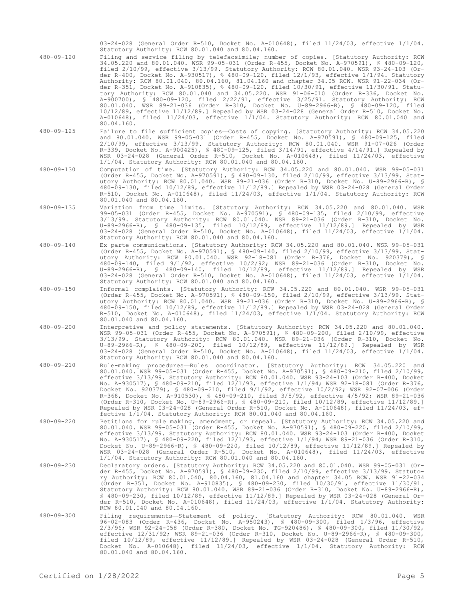03-24-028 (General Order R-510, Docket No. A-010648), filed 11/24/03, effective 1/1/04. Statutory Authority: RCW 80.01.040 and 80.04.160.

- 480-09-120 Filing and service filing by telefacsimile; number of copies. [Statutory Authority: RCW 34.05.220 and 80.01.040. WSR 99-05-031 (Order R-455, Docket No. A-970591), § 480-09-120, filed 2/10/99, effective 3/13/99. Statutory Authority: RCW 80.01.040. WSR 93-24-103 (Order R-400, Docket No. A-930517), § 480-09-120, filed 12/1/93, effective 1/1/94. Statutory Authority: RCW 80.01.040, 80.04.160, 81.04.160 and chapter 34.05 RCW. WSR 91-22-034 (Order R-351, Docket No. A-910835), § 480-09-120, filed 10/30/91, effective 11/30/91. Statutory Authority: RCW 80.01.040 and 34.05.220. WSR 91-06-010 (Order R-336, Docket No. A-900700), § 480-09-120, filed 2/22/91, effective 3/25/91. Statutory Authority: RCW 80.01.040. WSR 89-21-036 (Order R-310, Docket No. U-89-2966-R), § 480-09-120, filed 10/12/89, effective 11/12/89.] Repealed by WSR 03-24-028 (General Order R-510, Docket No. A-010648), filed 11/24/03, effective 1/1/04. Statutory Authority: RCW 80.01.040 and 80.04.160.
- 480-09-125 Failure to file sufficient copies—Costs of copying. [Statutory Authority: RCW 34.05.220 and 80.01.040. WSR 99-05-031 (Order R-455, Docket No. A-970591), § 480-09-125, filed 2/10/99, effective 3/13/99. Statutory Authority: RCW 80.01.040. WSR 91-07-026 (Order R-339, Docket No. A-900425), § 480-09-125, filed 3/14/91, effective 4/14/91.] Repealed by WSR 03-24-028 (General Order R-510, Docket No. A-010648), filed 11/24/03, effective 1/1/04. Statutory Authority: RCW 80.01.040 and 80.04.160.
- 480-09-130 Computation of time. [Statutory Authority: RCW 34.05.220 and 80.01.040. WSR 99-05-031 (Order R-455, Docket No. A-970591), § 480-09-130, filed 2/10/99, effective 3/13/99. Statutory Authority: RCW 80.01.040. WSR 89-21-036 (Order R-310, Docket No. U-89-2966-R), § 480-09-130, filed 10/12/89, effective 11/12/89.] Repealed by WSR 03-24-028 (General Order R-510, Docket No. A-010648), filed 11/24/03, effective 1/1/04. Statutory Authority: RCW 80.01.040 and 80.04.160.
- 480-09-135 Variation from time limits. [Statutory Authority: RCW 34.05.220 and 80.01.040. WSR 99-05-031 (Order R-455, Docket No. A-970591), § 480-09-135, filed 2/10/99, effective 3/13/99. Statutory Authority: RCW 80.01.040. WSR 89-21-036 (Order R-310, Docket No. U-89-2966-R), § 480-09-135, filed 10/12/89, effective 11/12/89.] Repealed by WSR 03-24-028 (General Order R-510, Docket No. A-010648), filed 11/24/03, effective 1/1/04. Statutory Authority: RCW 80.01.040 and 80.04.160.
- 480-09-140 Ex parte communications. [Statutory Authority: RCW 34.05.220 and 80.01.040. WSR 99-05-031 (Order R-455, Docket No. A-970591), § 480-09-140, filed 2/10/99, effective 3/13/99. Statutory Authority: RCW 80.01.040. WSR 92-18-081 (Order R-376, Docket No. 920379), § 480-09-140, filed 9/1/92, effective 10/2/92; WSR 89-21-036 (Order R-310, Docket No. U-89-2966-R), § 480-09-140, filed 10/12/89, effective 11/12/89.] Repealed by WSR 03-24-028 (General Order R-510, Docket No. A-010648), filed 11/24/03, effective 1/1/04. Statutory Authority: RCW 80.01.040 and 80.04.160.
- 480-09-150 Informal complaints. [Statutory Authority: RCW 34.05.220 and 80.01.040. WSR 99-05-031 (Order R-455, Docket No. A-970591), § 480-09-150, filed 2/10/99, effective 3/13/99. Statutory Authority: RCW 80.01.040. WSR 89-21-036 (Order R-310, Docket No. U-89-2966-R), § 480-09-150, filed 10/12/89, effective 11/12/89.] Repealed by WSR 03-24-028 (General Order R-510, Docket No. A-010648), filed 11/24/03, effective 1/1/04. Statutory Authority: RCW 80.01.040 and 80.04.160.
- 480-09-200 Interpretive and policy statements. [Statutory Authority: RCW 34.05.220 and 80.01.040. WSR 99-05-031 (Order R-455, Docket No. A-970591), § 480-09-200, filed 2/10/99, effective 3/13/99. Statutory Authority: RCW 80.01.040. WSR 89-21-036 (Order R-310, Docket No. U-89-2966-R), § 480-09-200, filed 10/12/89, effective 11/12/89.] Repealed by WSR 03-24-028 (General Order R-510, Docket No. A-010648), filed 11/24/03, effective 1/1/04. Statutory Authority: RCW 80.01.040 and 80.04.160.
- 480-09-210 Rule-making procedures—Rules coordinator. [Statutory Authority: RCW 34.05.220 and 80.01.040. WSR 99-05-031 (Order R-455, Docket No. A-970591), § 480-09-210, filed 2/10/99, effective 3/13/99. Statutory Authority: RCW 80.01.040. WSR 93-24-103 (Order R-400, Docket No. A-930517), § 480-09-210, filed 12/1/93, effective 1/1/94; WSR 92-18-081 (Order R-376, Docket No. 920379), § 480-09-210, filed 9/1/92, effective 10/2/92; WSR 92-07-006 (Order R-368, Docket No. A-910530), § 480-09-210, filed 3/5/92, effective 4/5/92; WSR 89-21-036 (Order R-310, Docket No. U-89-2966-R), § 480-09-210, filed 10/12/89, effective 11/12/89.] Repealed by WSR 03-24-028 (General Order R-510, Docket No. A-010648), filed 11/24/03, effective 1/1/04. Statutory Authority: RCW 80.01.040 and 80.04.160.
- 480-09-220 Petitions for rule making, amendment, or repeal. [Statutory Authority: RCW 34.05.220 and 80.01.040. WSR 99-05-031 (Order R-455, Docket No. A-970591), § 480-09-220, filed 2/10/99, effective 3/13/99. Statutory Authority: RCW 80.01.040. WSR 93-24-103 (Order R-400, Docket No. A-930517), § 480-09-220, filed 12/1/93, effective 1/1/94; WSR 89-21-036 (Order R-310, Docket No. U-89-2966-R), § 480-09-220, filed 10/12/89, effective 11/12/89.] Repealed by WSR 03-24-028 (General Order R-510, Docket No. A-010648), filed 11/24/03, effective 1/1/04. Statutory Authority: RCW 80.01.040 and 80.04.160.
- 480-09-230 Declaratory orders. [Statutory Authority: RCW 34.05.220 and 80.01.040. WSR 99-05-031 (Order R-455, Docket No. A-970591), § 480-09-230, filed 2/10/99, effective 3/13/99. Statutory Authority: RCW 80.01.040, 80.04.160, 81.04.160 and chapter 34.05 RCW. WSR 91-22-034 (Order R-351, Docket No. A-910835), § 480-09-230, filed 10/30/91, effective 11/30/91. Statutory Authority: RCW 80.01.040. WSR 89-21-036 (Order R-310, Docket No. U-89-2966-R), § 480-09-230, filed 10/12/89, effective 11/12/89.] Repealed by WSR 03-24-028 (General Or-der R-510, Docket No. A-010648), filed 11/24/03, effective 1/1/04. Statutory Authority: RCW 80.01.040 and 80.04.160.
- 480-09-300 Filing requirements—Statement of policy. [Statutory Authority: RCW 80.01.040. WSR 96-02-083 (Order R-436, Docket No. A-950243), § 480-09-300, filed 1/3/96, effective 2/3/96; WSR 92-24-058 (Order R-380, Docket No. TG-920486), § 480-09-300, filed 11/30/92, effective 12/31/92; WSR 89-21-036 (Order R-310, Docket No. U-89-2966-R), § 480-09-300, filed 10/12/89, effective 11/12/89.] Repealed by WSR 03-24-028 (General Order R-510, Docket No. A-010648), filed 11/24/03, effective 1/1/04. Statutory Authority: RCW 80.01.040 and 80.04.160.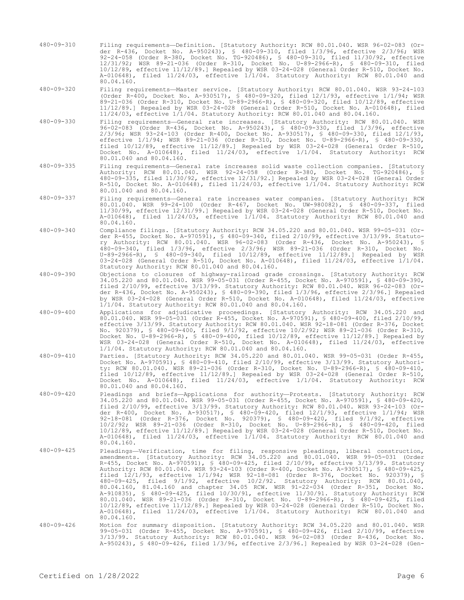- 480-09-310 Filing requirements—Definition. [Statutory Authority: RCW 80.01.040. WSR 96-02-083 (Order R-436, Docket No. A-950243), § 480-09-310, filed 1/3/96, effective 2/3/96; WSR 92-24-058 (Order R-380, Docket No. TG-920486), § 480-09-310, filed 11/30/92, effective 12/31/92; WSR 89-21-036 (Order R-310, Docket No. U-89-2966-R), § 480-09-310, filed 10/12/89, effective 11/12/89.] Repealed by WSR 03-24-028 (General Order R-510, Docket No. A-010648), filed 11/24/03, effective 1/1/04. Statutory Authority: RCW 80.01.040 and 80.04.160.
- 480-09-320 Filing requirements—Master service. [Statutory Authority: RCW 80.01.040. WSR 93-24-103 (Order R-400, Docket No. A-930517), § 480-09-320, filed 12/1/93, effective 1/1/94; WSR 89-21-036 (Order R-310, Docket No. U-89-2966-R), § 480-09-320, filed 10/12/89, effective 11/12/89.] Repealed by WSR 03-24-028 (General Order R-510, Docket No. A-010648), filed 11/24/03, effective 1/1/04. Statutory Authority: RCW 80.01.040 and 80.04.160.
- 480-09-330 Filing requirements—General rate increases. [Statutory Authority: RCW 80.01.040. WSR 96-02-083 (Order R-436, Docket No. A-950243), § 480-09-330, filed 1/3/96, effective 2/3/96; WSR 93-24-103 (Order R-400, Docket No. A-930517), § 480-09-330, filed 12/1/93, effective 1/1/94; WSR 89-21-036 (Order R-310, Docket No. U-89-2966-R), § 480-09-330, filed 10/12/89, effective 11/12/89.] Repealed by WSR 03-24-028 (General Order R-510, Docket No. A-010648), filed 11/24/03, effective 1/1/04. Statutory Authority: RCW 80.01.040 and 80.04.160.
- 480-09-335 Filing requirements—General rate increases solid waste collection companies. [Statutory Authority: RCW 80.01.040. WSR 92-24-058 (Order R-380, Docket No. TG-920486), § 480-09-335, filed 11/30/92, effective 12/31/92.] Repealed by WSR 03-24-028 (General Order R-510, Docket No. A-010648), filed 11/24/03, effective 1/1/04. Statutory Authority: RCW 80.01.040 and 80.04.160.
- 480-09-337 Filing requirements—General rate increases water companies. [Statutory Authority: RCW 80.01.040. WSR 99-24-100 (Order R-467, Docket No. UW-980082), § 480-09-337, filed 11/30/99, effective 12/31/99.] Repealed by WSR 03-24-028 (General Order R-510, Docket No. A-010648), filed 11/24/03, effective 1/1/04. Statutory Authority: RCW 80.01.040 and 80.04.160.
- 480-09-340 Compliance filings. [Statutory Authority: RCW 34.05.220 and 80.01.040. WSR 99-05-031 (Order R-455, Docket No. A-970591), § 480-09-340, filed 2/10/99, effective 3/13/99. Statutory Authority: RCW 80.01.040. WSR 96-02-083 (Order R-436, Docket No. A-950243), § 480-09-340, filed 1/3/96, effective 2/3/96; WSR 89-21-036 (Order R-310, Docket No. U-89-2966-R), § 480-09-340, filed 10/12/89, effective 11/12/89.] Repealed by WSR 03-24-028 (General Order R-510, Docket No. A-010648), filed 11/24/03, effective 1/1/04. Statutory Authority: RCW 80.01.040 and 80.04.160.
- 480-09-390 Objections to closures of highway-railroad grade crossings. [Statutory Authority: RCW 34.05.220 and 80.01.040. WSR 99-05-031 (Order R-455, Docket No. A-970591), § 480-09-390, filed 2/10/99, effective 3/13/99. Statutory Authority: RCW 80.01.040. WSR 96-02-083 (Order R-436, Docket No. A-950243), § 480-09-390, filed 1/3/96, effective 2/3/96.] Repealed by WSR 03-24-028 (General Order R-510, Docket No. A-010648), filed 11/24/03, effective 1/1/04. Statutory Authority: RCW 80.01.040 and 80.04.160.
- 480-09-400 Applications for adjudicative proceedings. [Statutory Authority: RCW 34.05.220 and 80.01.040. WSR 99-05-031 (Order R-455, Docket No. A-970591), § 480-09-400, filed 2/10/99, effective 3/13/99. Statutory Authority: RCW 80.01.040. WSR 92-18-081 (Order R-376, Docket No. 920379), § 480-09-400, filed 9/1/92, effective 10/2/92; WSR 89-21-036 (Order R-310, Docket No. U-89-2966-R), § 480-09-400, filed 10/12/89, effective 11/12/89.] Repealed by WSR 03-24-028 (General Order R-510, Docket No. A-010648), filed 11/24/03, effective 1/1/04. Statutory Authority: RCW 80.01.040 and 80.04.160.
- 480-09-410 Parties. [Statutory Authority: RCW 34.05.220 and 80.01.040. WSR 99-05-031 (Order R-455, Docket No. A-970591), § 480-09-410, filed 2/10/99, effective 3/13/99. Statutory Authority: RCW 80.01.040. WSR 89-21-036 (Order R-310, Docket No. U-89-2966-R), § 480-09-410, filed 10/12/89, effective 11/12/89.] Repealed by WSR 03-24-028 (General Order R-510, Docket No. A-010648), filed 11/24/03, effective 1/1/04. Statutory Authority: RCW 80.01.040 and 80.04.160.
- 480-09-420 Pleadings and briefs—Applications for authority—Protests. [Statutory Authority: RCW 34.05.220 and 80.01.040. WSR 99-05-031 (Order R-455, Docket No. A-970591), § 480-09-420, filed 2/10/99, effective 3/13/99. Statutory Authority: RCW 80.01.040. WSR 93-24-103 (Order R-400, Docket No. A-930517), § 480-09-420, filed 12/1/93, effective 1/1/94; WSR 92-18-081 (Order R-376, Docket No. 920379), § 480-09-420, filed 9/1/92, effective 10/2/92; WSR 89-21-036 (Order R-310, Docket No. U-89-2966-R), § 480-09-420, filed 10/12/89, effective 11/12/89.] Repealed by WSR 03-24-028 (General Order R-510, Docket No. A-010648), filed 11/24/03, effective 1/1/04. Statutory Authority: RCW 80.01.040 and 80.04.160.
- 480-09-425 Pleadings—Verification, time for filing, responsive pleadings, liberal construction, amendments. [Statutory Authority: RCW 34.05.220 and 80.01.040. WSR 99-05-031 (Order R-455, Docket No. A-970591), § 480-09-425, filed 2/10/99, effective 3/13/99. Statutory Authority: RCW 80.01.040. WSR 93-24-103 (Order R-400, Docket No. A-930517), § 480-09-425, filed 12/1/93, effective 1/1/94; WSR 92-18-081 (Order R-376, Docket No. 920379), § 480-09-425, filed 9/1/92, effective 10/2/92. Statutory Authority: RCW 80.01.040, 80.04.160, 81.04.160 and chapter 34.05 RCW. WSR 91-22-034 (Order R-351, Docket No. A-910835), § 480-09-425, filed 10/30/91, effective 11/30/91. Statutory Authority: RCW 80.01.040. WSR 89-21-036 (Order R-310, Docket No. U-89-2966-R), § 480-09-425, filed 10/12/89, effective 11/12/89.] Repealed by WSR 03-24-028 (General Order R-510, Docket No. A-010648), filed 11/24/03, effective 1/1/04. Statutory Authority: RCW 80.01.040 and 80.04.160.
- 480-09-426 Motion for summary disposition. [Statutory Authority: RCW 34.05.220 and 80.01.040. WSR 99-05-031 (Order R-455, Docket No. A-970591), § 480-09-426, filed 2/10/99, effective 3/13/99. Statutory Authority: RCW 80.01.040. WSR 96-02-083 (Order R-436, Docket No. A-950243), § 480-09-426, filed 1/3/96, effective 2/3/96.] Repealed by WSR 03-24-028 (Gen-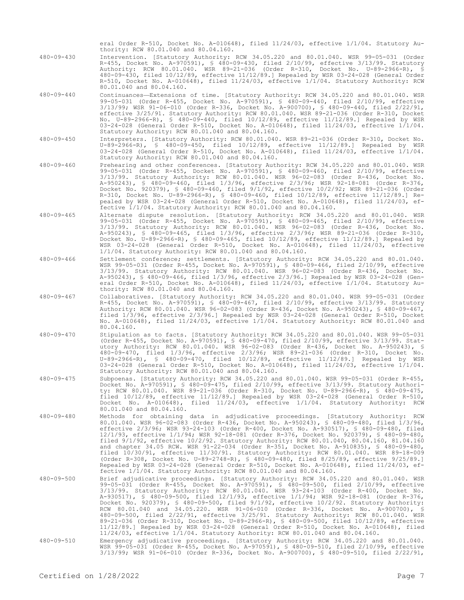eral Order R-510, Docket No. A-010648), filed 11/24/03, effective 1/1/04. Statutory Authority: RCW 80.01.040 and 80.04.160.

- 480-09-430 Intervention. [Statutory Authority: RCW 34.05.220 and 80.01.040. WSR 99-05-031 (Order R-455, Docket No. A-970591), § 480-09-430, filed 2/10/99, effective 3/13/99. Statutory Authority: RCW 80.01.040. WSR 89-21-036 (Order R-310, Docket No. U-89-2966-R), § 480-09-430, filed 10/12/89, effective 11/12/89.] Repealed by WSR 03-24-028 (General Order R-510, Docket No. A-010648), filed 11/24/03, effective 1/1/04. Statutory Authority: RCW 80.01.040 and 80.04.160.
- 480-09-440 Continuances—Extensions of time. [Statutory Authority: RCW 34.05.220 and 80.01.040. WSR 99-05-031 (Order R-455, Docket No. A-970591), § 480-09-440, filed 2/10/99, effective 3/13/99; WSR 91-06-010 (Order R-336, Docket No. A-900700), § 480-09-440, filed 2/22/91, effective 3/25/91. Statutory Authority: RCW 80.01.040. WSR 89-21-036 (Order R-310, Docket No. U-89-2966-R), § 480-09-440, filed 10/12/89, effective 11/12/89.] Repealed by WSR 03-24-028 (General Order R-510, Docket No. A-010648), filed 11/24/03, effective 1/1/04. Statutory Authority: RCW 80.01.040 and 80.04.160.
- 480-09-450 Interpreters. [Statutory Authority: RCW 80.01.040. WSR 89-21-036 (Order R-310, Docket No. U-89-2966-R), § 480-09-450, filed 10/12/89, effective 11/12/89.] Repealed by WSR 03-24-028 (General Order R-510, Docket No. A-010648), filed 11/24/03, effective 1/1/04. Statutory Authority: RCW 80.01.040 and 80.04.160.
- 480-09-460 Prehearing and other conferences. [Statutory Authority: RCW 34.05.220 and 80.01.040. WSR 99-05-031 (Order R-455, Docket No. A-970591), § 480-09-460, filed 2/10/99, effective 3/13/99. Statutory Authority: RCW 80.01.040. WSR 96-02-083 (Order R-436, Docket No. A-950243), § 480-09-460, filed 1/3/96, effective 2/3/96; WSR 92-18-081 (Order R-376, Docket No. 920379), § 480-09-460, filed 9/1/92, effective 10/2/92; WSR 89-21-036 (Order R-310, Docket No. U-89-2966-R), § 480-09-460, filed 10/12/89, effective 11/12/89.] Repealed by WSR 03-24-028 (General Order R-510, Docket No. A-010648), filed 11/24/03, effective 1/1/04. Statutory Authority: RCW 80.01.040 and 80.04.160.
- 480-09-465 Alternate dispute resolution. [Statutory Authority: RCW 34.05.220 and 80.01.040. WSR 99-05-031 (Order R-455, Docket No. A-970591), § 480-09-465, filed 2/10/99, effective 3/13/99. Statutory Authority: RCW 80.01.040. WSR 96-02-083 (Order R-436, Docket No. A-950243), § 480-09-465, filed 1/3/96, effective 2/3/96; WSR 89-21-036 (Order R-310, Docket No. U-89-2966-R), § 480-09-465, filed 10/12/89, effective 11/12/89.] Repealed by WSR 03-24-028 (General Order R-510, Docket No. A-010648), filed 11/24/03, effective 1/1/04. Statutory Authority: RCW 80.01.040 and 80.04.160.
- 480-09-466 Settlement conference; settlements. [Statutory Authority: RCW 34.05.220 and 80.01.040. WSR 99-05-031 (Order R-455, Docket No. A-970591), § 480-09-466, filed 2/10/99, effective 3/13/99. Statutory Authority: RCW 80.01.040. WSR 96-02-083 (Order R-436, Docket No. A-950243), § 480-09-466, filed 1/3/96, effective 2/3/96.] Repealed by WSR 03-24-028 (General Order R-510, Docket No. A-010648), filed 11/24/03, effective 1/1/04. Statutory Authority: RCW 80.01.040 and 80.04.160.
- 480-09-467 Collaboratives. [Statutory Authority: RCW 34.05.220 and 80.01.040. WSR 99-05-031 (Order R-455, Docket No. A-970591), § 480-09-467, filed 2/10/99, effective 3/13/99. Statutory Authority: RCW 80.01.040. WSR 96-02-083 (Order R-436, Docket No. A-950243), § 480-09-467, filed 1/3/96, effective 2/3/96.] Repealed by WSR 03-24-028 (General Order R-510, Docket No. A-010648), filed 11/24/03, effective 1/1/04. Statutory Authority: RCW 80.01.040 and 80.04.160.
- 480-09-470 Stipulation as to facts. [Statutory Authority: RCW 34.05.220 and 80.01.040. WSR 99-05-031 (Order R-455, Docket No. A-970591), § 480-09-470, filed 2/10/99, effective 3/13/99. Statutory Authority: RCW 80.01.040. WSR 96-02-083 (Order R-436, Docket No. A-950243), § 480-09-470, filed 1/3/96, effective 2/3/96; WSR 89-21-036 (Order R-310, Docket No. U-89-2966-R), § 480-09-470, filed 10/12/89, effective 11/12/89.] Repealed by WSR 03-24-028 (General Order R-510, Docket No. A-010648), filed 11/24/03, effective 1/1/04. Statutory Authority: RCW 80.01.040 and 80.04.160.
- 480-09-475 Subpoenas. [Statutory Authority: RCW 34.05.220 and 80.01.040. WSR 99-05-031 (Order R-455, Docket No. A-970591), § 480-09-475, filed 2/10/99, effective 3/13/99. Statutory Authority: RCW 80.01.040. WSR 89-21-036 (Order R-310, Docket No. U-89-2966-R), § 480-09-475, filed 10/12/89, effective 11/12/89.] Repealed by WSR 03-24-028 (General Order R-510, Docket No. A-010648), filed 11/24/03, effective 1/1/04. Statutory Authority: RCW 80.01.040 and 80.04.160.
- 480-09-480 Methods for obtaining data in adjudicative proceedings. [Statutory Authority: RCW 80.01.040. WSR 96-02-083 (Order R-436, Docket No. A-950243), § 480-09-480, filed 1/3/96, effective 2/3/96; WSR 93-24-103 (Order R-400, Docket No. A-930517), § 480-09-480, filed 12/1/93, effective 1/1/94; WSR 92-18-081 (Order R-376, Docket No. 920379), § 480-09-480, filed 9/1/92, effective 10/2/92. Statutory Authority: RCW 80.01.040, 80.04.160, 81.04.160 and chapter 34.05 RCW. WSR 91-22-034 (Order R-351, Docket No. A-910835), § 480-09-480, filed 10/30/91, effective 11/30/91. Statutory Authority: RCW 80.01.040. WSR 89-18-009 (Order R-308, Docket No. U-89-2748-R), § 480-09-480, filed 8/25/89, effective 9/25/89.] Repealed by WSR 03-24-028 (General Order R-510, Docket No. A-010648), filed 11/24/03, effective 1/1/04. Statutory Authority: RCW 80.01.040 and 80.04.160.
- 480-09-500 Brief adjudicative proceedings. [Statutory Authority: RCW 34.05.220 and 80.01.040. WSR 99-05-031 (Order R-455, Docket No. A-970591), § 480-09-500, filed 2/10/99, effective 3/13/99. Statutory Authority: RCW 80.01.040. WSR 93-24-103 (Order R-400, Docket No. A-930517), § 480-09-500, filed 12/1/93, effective 1/1/94; WSR 92-18-081 (Order R-376,<br>Docket No. 920379), § 480-09-500, filed 9/1/92, effective 10/2/92. Statutory Authority:<br>RCW 80.01.040 and 34.05.220. WSR 91-06-010 (Orde 480-09-500, filed 2/22/91, effective 3/25/91. Statutory Authority: RCW 80.01.040. WSR 89-21-036 (Order R-310, Docket No. U-89-2966-R), § 480-09-500, filed 10/12/89, effective 11/12/89.] Repealed by WSR 03-24-028 (General Order R-510, Docket No. A-010648), filed 11/24/03, effective 1/1/04. Statutory Authority: RCW 80.01.040 and 80.04.160.
- 480-09-510 Emergency adjudicative proceedings. [Statutory Authority: RCW 34.05.220 and 80.01.040. WSR 99-05-031 (Order R-455, Docket No. A-970591), § 480-09-510, filed 2/10/99, effective 3/13/99; WSR 91-06-010 (Order R-336, Docket No. A-900700), § 480-09-510, filed 2/22/91,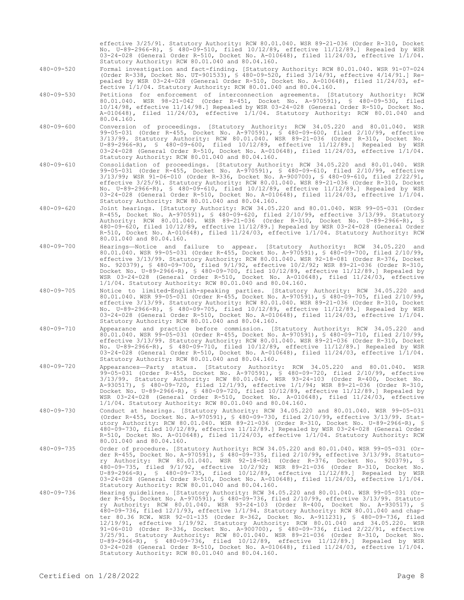03-24-028 (General Order R-510, Docket No. A-010648), filed 11/24/03, effective 1/1/04. Statutory Authority: RCW 80.01.040 and 80.04.160. 480-09-520 Formal investigation and fact-finding. [Statutory Authority: RCW 80.01.040. WSR 91-07-024 (Order R-338, Docket No. UT-901533), § 480-09-520, filed 3/14/91, effective 4/14/91.] Repealed by WSR 03-24-028 (General Order R-510, Docket No. A-010648), filed 11/24/03, effective 1/1/04. Statutory Authority: RCW 80.01.040 and 80.04.160. 480-09-530 Petitions for enforcement of interconnection agreements. [Statutory Authority: RCW 80.01.040. WSR 98-21-042 (Order R-451, Docket No. A-970591), § 480-09-530, filed 10/14/98, effective 11/14/98.] Repealed by WSR 03-24-028 (General Order R-510, Docket No. A-010648), filed 11/24/03, effective 1/1/04. Statutory Authority: RCW 80.01.040 and 80.04.160. 480-09-600 Conversion of proceedings. [Statutory Authority: RCW 34.05.220 and 80.01.040. WSR 99-05-031 (Order R-455, Docket No. A-970591), § 480-09-600, filed 2/10/99, effective 3/13/99. Statutory Authority: RCW 80.01.040. WSR 89-21-036 (Order R-310, Docket No. U-89-2966-R), § 480-09-600, filed 10/12/89, effective 11/12/89.] Repealed by WSR 03-24-028 (General Order R-510, Docket No. A-010648), filed 11/24/03, effective 1/1/04. Statutory Authority: RCW 80.01.040 and 80.04.160. 480-09-610 Consolidation of proceedings. [Statutory Authority: RCW 34.05.220 and 80.01.040. WSR 99-05-031 (Order R-455, Docket No. A-970591), § 480-09-610, filed 2/10/99, effective 3/13/99; WSR 91-06-010 (Order R-336, Docket No. A-900700), § 480-09-610, filed 2/22/91, effective 3/25/91. Statutory Authority: RCW 80.01.040. WSR 89-21-036 (Order R-310, Docket No. U-89-2966-R), § 480-09-610, filed 10/12/89, effective 11/12/89.] Repealed by WSR 03-24-028 (General Order R-510, Docket No. A-010648), filed 11/24/03, effective 1/1/04. Statutory Authority: RCW 80.01.040 and 80.04.160. 480-09-620 Joint hearings. [Statutory Authority: RCW 34.05.220 and 80.01.040. WSR 99-05-031 (Order R-455, Docket No. A-970591), § 480-09-620, filed 2/10/99, effective 3/13/99. Statutory Authority: RCW 80.01.040. WSR 89-21-036 (Order R-310, Docket No. U-89-2966-R), § 480-09-620, filed 10/12/89, effective 11/12/89.] Repealed by WSR 03-24-028 (General Order R-510, Docket No. A-010648), filed 11/24/03, effective 1/1/04. Statutory Authority: RCW 80.01.040 and 80.04.160. 480-09-700 Hearings—Notice and failure to appear. [Statutory Authority: RCW 34.05.220 and 80.01.040. WSR 99-05-031 (Order R-455, Docket No. A-970591), § 480-09-700, filed 2/10/99, effective 3/13/99. Statutory Authority: RCW 80.01.040. WSR 92-18-081 (Order R-376, Docket No. 920379), § 480-09-700, filed 9/1/92, effective 10/2/92; WSR 89-21-036 (Order R-310, Docket No. U-89-2966-R), § 480-09-700, filed 10/12/89, effective 11/12/89.] Repealed by WSR 03-24-028 (General Order R-510, Docket No. A-010648), filed 11/24/03, effective 1/1/04. Statutory Authority: RCW 80.01.040 and 80.04.160. 480-09-705 Notice to limited-English-speaking parties. [Statutory Authority: RCW 34.05.220 and 80.01.040. WSR 99-05-031 (Order R-455, Docket No. A-970591), § 480-09-705, filed 2/10/99, effective 3/13/99. Statutory Authority: RCW 80.01.040. WSR 89-21-036 (Order R-310, Docket No. U-89-2966-R), § 480-09-705, filed 10/12/89, effective 11/12/89.] Repealed by WSR 03-24-028 (General Order R-510, Docket No. A-010648), filed 11/24/03, effective 1/1/04. Statutory Authority: RCW 80.01.040 and 80.04.160. 480-09-710 Appearance and practice before commission. [Statutory Authority: RCW 34.05.220 and 80.01.040. WSR 99-05-031 (Order R-455, Docket No. A-970591), § 480-09-710, filed 2/10/99, effective 3/13/99. Statutory Authority: RCW 80.01.040. WSR 89-21-036 (Order R-310, Docket No. U-89-2966-R), § 480-09-710, filed 10/12/89, effective 11/12/89.] Repealed by WSR 03-24-028 (General Order R-510, Docket No. A-010648), filed 11/24/03, effective 1/1/04. Statutory Authority: RCW 80.01.040 and 80.04.160. 480-09-720 Appearances—Party status. [Statutory Authority: RCW 34.05.220 and 80.01.040. WSR 99-05-031 (Order R-455, Docket No. A-970591), § 480-09-720, filed 2/10/99, effective 3/13/99. Statutory Authority: RCW 80.01.040. WSR 93-24-103 (Order R-400, Docket No. A-930517), § 480-09-720, filed 12/1/93, effective 1/1/94; WSR 89-21-036 (Order R-310, Docket No. U-89-2966-R), § 480-09-720, filed 10/12/89, effective 11/12/89.] Repealed by WSR 03-24-028 (General Order R-510, Docket No. A-010648), filed 11/24/03, effective 1/1/04. Statutory Authority: RCW 80.01.040 and 80.04.160. 480-09-730 Conduct at hearings. [Statutory Authority: RCW 34.05.220 and 80.01.040. WSR 99-05-031 (Order R-455, Docket No. A-970591), § 480-09-730, filed 2/10/99, effective 3/13/99. Statutory Authority: RCW 80.01.040. WSR 89-21-036 (Order R-310, Docket No. U-89-2966-R), § 480-09-730, filed 10/12/89, effective 11/12/89.] Repealed by WSR 03-24-028 (General Order R-510, Docket No. A-010648), filed 11/24/03, effective 1/1/04. Statutory Authority: RCW 80.01.040 and 80.04.160.<br>Order of procedure. [Statutory Authority: RCW 34.05.220 and 80.01.040. WSR 99-05-031 (Or-480-09-735 Order of procedure. [Statutory Authority: RCW 34.05.220 and 80.01.040. WSR 99-05-031 (Order R-455, Docket No. A-970591), § 480-09-735, filed 2/10/99, effective 3/13/99. Statutory Authority: RCW 80.01.040. WSR 92-18-081 (Order R-376, Docket No. 920379), § 480-09-735, filed 9/1/92, effective 10/2/92; WSR 89-21-036 (Order R-310, Docket No. U-89-2966-R), § 480-09-735, filed 10/12/89, effective 11/12/89.] Repealed by WSR 03-24-028 (General Order R-510, Docket No. A-010648), filed 11/24/03, effective 1/1/04. Statutory Authority: RCW 80.01.040 and 80.04.160. 480-09-736 Hearing guidelines. [Statutory Authority: RCW 34.05.220 and 80.01.040. WSR 99-05-031 (Order R-455, Docket No. A-970591), § 480-09-736, filed 2/10/99, effective 3/13/99. Statuto-<br>ry Authority: RCW 80.01.040. WSR 93-24-103 (Order R-400, Docket No. A-930517), §<br>480-09-736, filed 12/1/93, effective 1/1/94. Statut ter 80.36 RCW. WSR 92-01-135 (Order R-362, Docket No. A-911231), § 480-09-736, filed 12/19/91, effective 1/19/92. Statutory Authority: RCW 80.01.040 and 34.05.220. WSR 91-06-010 (Order R-336, Docket No. A-900700), § 480-09-736, filed 2/22/91, effective 3/25/91. Statutory Authority: RCW 80.01.040. WSR 89-21-036 (Order R-310, Docket No. U-89-2966-R), § 480-09-736, filed 10/12/89, effective 11/12/89.] Repealed by WSR 03-24-028 (General Order R-510, Docket No. A-010648), filed 11/24/03, effective 1/1/04. Statutory Authority: RCW 80.01.040 and 80.04.160. Certified on  $1/28/2022$ 

effective 3/25/91. Statutory Authority: RCW 80.01.040. WSR 89-21-036 (Order R-310, Docket No. U-89-2966-R), § 480-09-510, filed 10/12/89, effective 11/12/89.] Repealed by WSR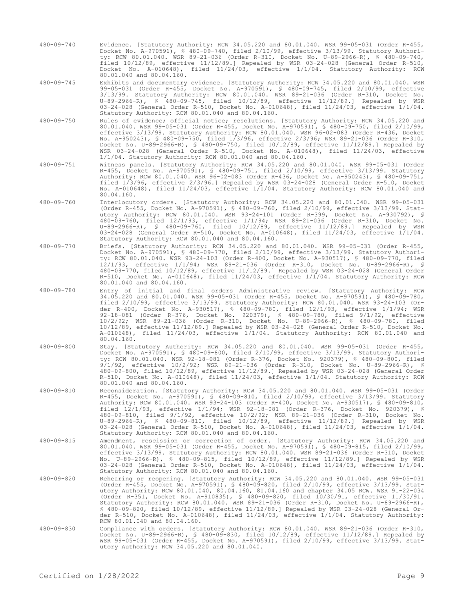480-09-740 Evidence. [Statutory Authority: RCW 34.05.220 and 80.01.040. WSR 99-05-031 (Order R-455, Docket No. A-970591), § 480-09-740, filed 2/10/99, effective 3/13/99. Statutory Authority: RCW 80.01.040. WSR 89-21-036 (Order R-310, Docket No. U-89-2966-R), § 480-09-740, filed 10/12/89, effective 11/12/89.] Repealed by WSR 03-24-028 (General Order R-510, Docket No. A-010648), filed 11/24/03, effective 1/1/04. Statutory Authority: RCW 80.01.040 and 80.04.160.

480-09-745 Exhibits and documentary evidence. [Statutory Authority: RCW 34.05.220 and 80.01.040. WSR 99-05-031 (Order R-455, Docket No. A-970591), § 480-09-745, filed 2/10/99, effective 3/13/99. Statutory Authority: RCW 80.01.040. WSR 89-21-036 (Order R-310, Docket No. U-89-2966-R), § 480-09-745, filed 10/12/89, effective 11/12/89.] Repealed by WSR 03-24-028 (General Order R-510, Docket No. A-010648), filed 11/24/03, effective 1/1/04. Statutory Authority: RCW 80.01.040 and 80.04.160.

- 480-09-750 Rules of evidence; official notice; resolutions. [Statutory Authority: RCW 34.05.220 and 80.01.040. WSR 99-05-031 (Order R-455, Docket No. A-970591), § 480-09-750, filed 2/10/99, effective 3/13/99. Statutory Authority: RCW 80.01.040. WSR 96-02-083 (Order R-436, Docket No. A-950243), § 480-09-750, filed 1/3/96, effective 2/3/96; WSR 89-21-036 (Order R-310, Docket No. U-89-2966-R), § 480-09-750, filed 10/12/89, effective 11/12/89.] Repealed by WSR 03-24-028 (General Order R-510, Docket No. A-010648), filed 11/24/03, effective 1/1/04. Statutory Authority: RCW 80.01.040 and 80.04.160.
- 480-09-751 Witness panels. [Statutory Authority: RCW 34.05.220 and 80.01.040. WSR 99-05-031 (Order R-455, Docket No. A-970591), § 480-09-751, filed 2/10/99, effective 3/13/99. Statutory Authority: RCW 80.01.040. WSR 96-02-083 (Order R-436, Docket No. A-950243), § 480-09-751, filed 1/3/96, effective 2/3/96.] Repealed by WSR 03-24-028 (General Order R-510, Docket No. A-010648), filed 11/24/03, effective 1/1/04. Statutory Authority: RCW 80.01.040 and 80.04.160.
- 480-09-760 Interlocutory orders. [Statutory Authority: RCW 34.05.220 and 80.01.040. WSR 99-05-031 (Order R-455, Docket No. A-970591), § 480-09-760, filed 2/10/99, effective 3/13/99. Statutory Authority: RCW 80.01.040. WSR 93-24-101 (Order R-399, Docket No. A-930792), § 480-09-760, filed 12/1/93, effective 1/1/94; WSR 89-21-036 (Order R-310, Docket No. U-89-2966-R), § 480-09-760, filed 10/12/89, effective 11/12/89.] Repealed by WSR 03-24-028 (General Order R-510, Docket No. A-010648), filed 11/24/03, effective 1/1/04. Statutory Authority: RCW 80.01.040 and 80.04.160.
- 480-09-770 Briefs. [Statutory Authority: RCW 34.05.220 and 80.01.040. WSR 99-05-031 (Order R-455, Docket No. A-970591), § 480-09-770, filed 2/10/99, effective 3/13/99. Statutory Authority: RCW 80.01.040. WSR 93-24-103 (Order R-400, Docket No. A-930517), § 480-09-770, filed 12/1/93, effective 1/1/94; WSR 89-21-036 (Order R-310, Docket No. U-89-2966-R), § 480-09-770, filed 10/12/89, effective 11/12/89.] Repealed by WSR 03-24-028 (General Order R-510, Docket No. A-010648), filed 11/24/03, effective 1/1/04. Statutory Authority: RCW 80.01.040 and 80.04.160.
- 480-09-780 Entry of initial and final orders—Administrative review. [Statutory Authority: RCW 34.05.220 and 80.01.040. WSR 99-05-031 (Order R-455, Docket No. A-970591), § 480-09-780, filed 2/10/99, effective 3/13/99. Statutory Authority: RCW 80.01.040. WSR 93-24-103 (Order R-400, Docket No. A-930517), § 480-09-780, filed 12/1/93, effective 1/1/94; WSR 92-18-081 (Order R-376, Docket No. 920379), § 480-09-780, filed 9/1/92, effective 10/2/92; WSR 89-21-036 (Order R-310, Docket No. U-89-2966-R), § 480-09-780, filed 10/12/89, effective 11/12/89.] Repealed by WSR 03-24-028 (General Order R-510, Docket No. A-010648), filed 11/24/03, effective 1/1/04. Statutory Authority: RCW 80.01.040 and 80.04.160.
- 480-09-800 Stay. [Statutory Authority: RCW 34.05.220 and 80.01.040. WSR 99-05-031 (Order R-455, Docket No. A-970591), § 480-09-800, filed 2/10/99, effective 3/13/99. Statutory Authority: RCW 80.01.040. WSR 92-18-081 (Order R-376, Docket No. 920379), § 480-09-800, filed 9/1/92, effective 10/2/92; WSR 89-21-036 (Order R-310, Docket No. U-89-2966-R), § 480-09-800, filed 10/12/89, effective 11/12/89.] Repealed by WSR 03-24-028 (General Order R-510, Docket No. A-010648), filed 11/24/03, effective 1/1/04. Statutory Authority: RCW 80.01.040 and 80.04.160.
- 480-09-810 Reconsideration. [Statutory Authority: RCW 34.05.220 and 80.01.040. WSR 99-05-031 (Order R-455, Docket No. A-970591), § 480-09-810, filed 2/10/99, effective 3/13/99. Statutory Authority: RCW 80.01.040. WSR 93-24-103 (Order R-400, Docket No. A-930517), § 480-09-810, filed 12/1/93, effective 1/1/94; WSR 92-18-081 (Order R-376, Docket No. 920379), § 480-09-810, filed 9/1/92, effective 10/2/92; WSR 89-21-036 (Order R-310, Docket No. U-89-2966-R), § 480-09-810, filed 10/12/89, effective 11/12/89.] Repealed by WSR 03-24-028 (General Order R-510, Docket No. A-010648), filed 11/24/03, effective 1/1/04. Statutory Authority: RCW 80.01.040 and 80.04.160.
- 480-09-815 Amendment, rescission or correction of order. [Statutory Authority: RCW 34.05.220 and 80.01.040. WSR 99-05-031 (Order R-455, Docket No. A-970591), § 480-09-815, filed 2/10/99, effective 3/13/99. Statutory Authority: RCW 80.01.040. WSR 89-21-036 (Order R-310, Docket No. U-89-2966-R), § 480-09-815, filed 10/12/89, effective 11/12/89.] Repealed by WSR 03-24-028 (General Order R-510, Docket No. A-010648), filed 11/24/03, effective 1/1/04. Statutory Authority: RCW 80.01.040 and 80.04.160.
- 480-09-820 Rehearing or reopening. [Statutory Authority: RCW 34.05.220 and 80.01.040. WSR 99-05-031 (Order R-455, Docket No. A-970591), § 480-09-820, filed 2/10/99, effective 3/13/99. Statutory Authority: RCW 80.01.040, 80.04.160, 81.04.160 and chapter 34.05 RCW. WSR 91-22-034 (Order R-351, Docket No. A-910835), § 480-09-820, filed 10/30/91, effective 11/30/91. Statutory Authority: RCW 80.01.040. WSR 89-21-036 (Order R-310, Docket No. U-89-2966-R), § 480-09-820, filed 10/12/89, effective 11/12/89.] Repealed by WSR 03-24-028 (General Order R-510, Docket No. A-010648), filed 11/24/03, effective 1/1/04. Statutory Authority: RCW 80.01.040 and 80.04.160.
- 480-09-830 Compliance with orders. [Statutory Authority: RCW 80.01.040. WSR 89-21-036 (Order R-310, Docket No. U-89-2966-R), § 480-09-830, filed 10/12/89, effective 11/12/89.] Repealed by WSR 99-05-031 (Order R-455, Docket No. A-970591), filed 2/10/99, effective 3/13/99. Statutory Authority: RCW 34.05.220 and 80.01.040.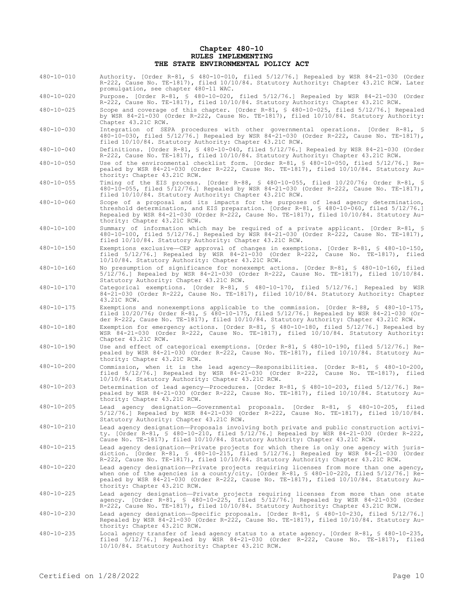#### **Chapter 480-10 RULES IMPLEMENTING THE STATE ENVIRONMENTAL POLICY ACT**

- 480-10-010 Authority. [Order R-81, § 480-10-010, filed 5/12/76.] Repealed by WSR 84-21-030 (Order R-222, Cause No. TE-1817), filed 10/10/84. Statutory Authority: Chapter 43.21C RCW. Later promulgation, see chapter 480-11 WAC.
- 480-10-020 Purpose. [Order R-81, § 480-10-020, filed 5/12/76.] Repealed by WSR 84-21-030 (Order R-222, Cause No. TE-1817), filed 10/10/84. Statutory Authority: Chapter 43.21C RCW.
- 480-10-025 Scope and coverage of this chapter. [Order R-81, § 480-10-025, filed 5/12/76.] Repealed by WSR 84-21-030 (Order R-222, Cause No. TE-1817), filed 10/10/84. Statutory Authority: Chapter 43.21C RCW.
- 480-10-030 Integration of SEPA procedures with other governmental operations. [Order R-81, § 480-10-030, filed 5/12/76.] Repealed by WSR 84-21-030 (Order R-222, Cause No. TE-1817), filed 10/10/84. Statutory Authority: Chapter 43.21C RCW.
- 480-10-040 Definitions. [Order R-81, § 480-10-040, filed 5/12/76.] Repealed by WSR 84-21-030 (Order R-222, Cause No. TE-1817), filed 10/10/84. Statutory Authority: Chapter 43.21C RCW.
- 480-10-050 Use of the environmental checklist form. [Order R-81, § 480-10-050, filed 5/12/76.] Repealed by WSR 84-21-030 (Order R-222, Cause No. TE-1817), filed 10/10/84. Statutory Authority: Chapter 43.21C RCW.
- 480-10-055 Timing of the EIS process. [Order R-88, § 480-10-055, filed 10/20/76; Order R-81, § 480-10-055, filed 5/12/76.] Repealed by WSR 84-21-030 (Order R-222, Cause No. TE-1817), filed 10/10/84. Statutory Authority: Chapter 43.21C RCW.
- 480-10-060 Scope of a proposal and its impacts for the purposes of lead agency determination, threshold determination, and EIS preparation. [Order R-81, § 480-10-060, filed 5/12/76.] Repealed by WSR 84-21-030 (Order R-222, Cause No. TE-1817), filed 10/10/84. Statutory Authority: Chapter 43.21C RCW.
- 480-10-100 Summary of information which may be required of a private applicant. [Order R-81, § 480-10-100, filed 5/12/76.] Repealed by WSR 84-21-030 (Order R-222, Cause No. TE-1817), filed 10/10/84. Statutory Authority: Chapter 43.21C RCW.
- 480-10-150 Exemptions exclusive—CEP approval of changes in exemptions. [Order R-81, § 480-10-150, filed 5/12/76.] Repealed by WSR 84-21-030 (Order R-222, Cause No. TE-1817), filed 10/10/84. Statutory Authority: Chapter 43.21C RCW.
- 480-10-160 No presumption of significance for nonexempt actions. [Order R-81, § 480-10-160, filed 5/12/76.] Repealed by WSR 84-21-030 (Order R-222, Cause No. TE-1817), filed 10/10/84. Statutory Authority: Chapter 43.21C RCW.
- 480-10-170 Categorical exemptions. [Order R-81, § 480-10-170, filed 5/12/76.] Repealed by WSR 84-21-030 (Order R-222, Cause No. TE-1817), filed 10/10/84. Statutory Authority: Chapter 43.21C RCW.
- 480-10-175 Exemptions and nonexemptions applicable to the commission. [Order R-88, § 480-10-175, filed 10/20/76; Order R-81, § 480-10-175, filed 5/12/76.] Repealed by WSR 84-21-030 (Order R-222, Cause No. TE-1817), filed 10/10/84. Statutory Authority: Chapter 43.21C RCW.
- 480-10-180 Exemption for emergency actions. [Order R-81, § 480-10-180, filed 5/12/76.] Repealed by WSR 84-21-030 (Order R-222, Cause No. TE-1817), filed 10/10/84. Statutory Authority: Chapter 43.21C RCW.
- 480-10-190 Use and effect of categorical exemptions. [Order R-81, § 480-10-190, filed 5/12/76.] Repealed by WSR 84-21-030 (Order R-222, Cause No. TE-1817), filed 10/10/84. Statutory Authority: Chapter 43.21C RCW.
- 480-10-200 Commission, when it is the lead agency—Responsibilities. [Order R-81, § 480-10-200, filed 5/12/76.] Repealed by WSR 84-21-030 (Order R-222, Cause No. TE-1817), filed 10/10/84. Statutory Authority: Chapter 43.21C RCW.
- 480-10-203 Determination of lead agency—Procedures. [Order R-81, § 480-10-203, filed 5/12/76.] Repealed by WSR 84-21-030 (Order R-222, Cause No. TE-1817), filed 10/10/84. Statutory Authority: Chapter 43.21C RCW.
- 480-10-205 Lead agency designation—Governmental proposals. [Order R-81, § 480-10-205, filed 5/12/76.] Repealed by WSR 84-21-030 (Order R-222, Cause No. TE-1817), filed 10/10/84. Statutory Authority: Chapter 43.21C RCW.
- 480-10-210 Lead agency designation—Proposals involving both private and public construction activity. [Order R-81, § 480-10-210, filed 5/12/76.] Repealed by WSR 84-21-030 (Order R-222, Cause No. TE-1817), filed 10/10/84. Statutory Authority: Chapter 43.21C RCW.
- 480-10-215 Lead agency designation—Private projects for which there is only one agency with jurisdiction. [Order R-81, § 480-10-215, filed 5/12/76.] Repealed by WSR 84-21-030 (Order R-222, Cause No. TE-1817), filed 10/10/84. Statutory Authority: Chapter 43.21C RCW.
- 480-10-220 Lead agency designation—Private projects requiring licenses from more than one agency, when one of the agencies is a county/city. [Order R-81, § 480-10-220, filed 5/12/76.] Repealed by WSR 84-21-030 (Order R-222, Cause No. TE-1817), filed 10/10/84. Statutory Authority: Chapter 43.21C RCW.
- 480-10-225 Lead agency designation—Private projects requiring licenses from more than one state agency. [Order R-81, § 480-10-225, filed 5/12/76.] Repealed by WSR 84-21-030 (Order R-222, Cause No. TE-1817), filed 10/10/84. Statutory Authority: Chapter 43.21C RCW.
- 480-10-230 Lead agency designation—Specific proposals. [Order R-81, § 480-10-230, filed 5/12/76.] Repealed by WSR 84-21-030 (Order R-222, Cause No. TE-1817), filed 10/10/84. Statutory Authority: Chapter 43.21C RCW.
- 480-10-235 Local agency transfer of lead agency status to a state agency. [Order R-81, § 480-10-235, filed 5/12/76.] Repealed by WSR 84-21-030 (Order R-222, Cause No. TE-1817), filed 10/10/84. Statutory Authority: Chapter 43.21C RCW.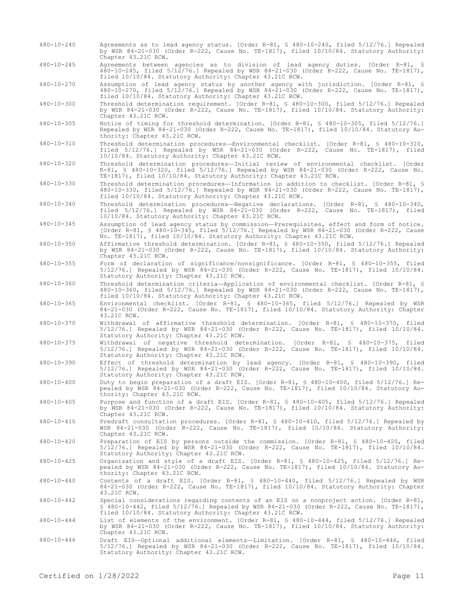- 480-10-240 Agreements as to lead agency status. [Order R-81, § 480-10-240, filed 5/12/76.] Repealed by WSR 84-21-030 (Order R-222, Cause No. TE-1817), filed 10/10/84. Statutory Authority: Chapter 43.21C RCW.
- 480-10-245 Agreements between agencies as to division of lead agency duties. [Order R-81, § 480-10-245, filed 5/12/76.] Repealed by WSR 84-21-030 (Order R-222, Cause No. TE-1817), filed 10/10/84. Statutory Authority: Chapter 43.21C RCW.

480-10-270 Assumption of lead agency status by another agency with jurisdiction. [Order R-81, § 480-10-270, filed 5/12/76.] Repealed by WSR 84-21-030 (Order R-222, Cause No. TE-1817), filed 10/10/84. Statutory Authority: Chapter 43.21C RCW.

480-10-300 Threshold determination requirement. [Order R-81, § 480-10-300, filed 5/12/76.] Repealed by WSR 84-21-030 (Order R-222, Cause No. TE-1817), filed 10/10/84. Statutory Authority: Chapter 43.21C RCW.

- 480-10-305 Notice of timing for threshold determination. [Order R-81, § 480-10-305, filed 5/12/76.] Repealed by WSR 84-21-030 (Order R-222, Cause No. TE-1817), filed 10/10/84. Statutory Authority: Chapter 43.21C RCW.
- 480-10-310 Threshold determination procedures—Environmental checklist. [Order R-81, § 480-10-310, filed 5/12/76.] Repealed by WSR 84-21-030 (Order R-222, Cause No. TE-1817), filed 10/10/84. Statutory Authority: Chapter 43.21C RCW.
- 480-10-320 Threshold determination procedures—Initial review of environmental checklist. [Order R-81, § 480-10-320, filed 5/12/76.] Repealed by WSR 84-21-030 (Order R-222, Cause No. TE-1817), filed 10/10/84. Statutory Authority: Chapter 43.21C RCW.
- 480-10-330 Threshold determination procedures—Information in addition to checklist. [Order R-81, § 480-10-330, filed 5/12/76.] Repealed by WSR 84-21-030 (Order R-222, Cause No. TE-1817), filed 10/10/84. Statutory Authority: Chapter 43.21C RCW.

480-10-340 Threshold determination procedures—Negative declarations. [Order R-81, § 480-10-340, filed 5/12/76.] Repealed by WSR 84-21-030 (Order R-222, Cause No. TE-1817), filed 10/10/84. Statutory Authority: Chapter 43.21C RCW.

480-10-345 Assumption of lead agency status by commission—Prerequisites, effect and form of notice. [Order R-81, § 480-10-345, filed 5/12/76.] Repealed by WSR 84-21-030 (Order R-222, Cause No. TE-1817), filed 10/10/84. Statutory Authority: Chapter 43.21C RCW.

480-10-350 Affirmative threshold determination. [Order R-81, § 480-10-350, filed 5/12/76.] Repealed by WSR 84-21-030 (Order R-222, Cause No. TE-1817), filed 10/10/84. Statutory Authority: Chapter 43.21C RCW.

480-10-355 Form of declaration of significance/nonsignificance. [Order R-81, § 480-10-355, filed 5/12/76.] Repealed by WSR 84-21-030 (Order R-222, Cause No. TE-1817), filed 10/10/84. Statutory Authority: Chapter 43.21C RCW.

480-10-360 Threshold determination criteria—Application of environmental checklist. [Order R-81, § 480-10-360, filed 5/12/76.] Repealed by WSR 84-21-030 (Order R-222, Cause No. TE-1817), filed 10/10/84. Statutory Authority: Chapter 43.21C RCW.

- 480-10-365 Environmental checklist. [Order R-81, § 480-10-365, filed 5/12/76.] Repealed by WSR 84-21-030 (Order R-222, Cause No. TE-1817), filed 10/10/84. Statutory Authority: Chapter 43.21C RCW.
- 480-10-370 Withdrawal of affirmative threshold determination. [Order R-81, § 480-10-370, filed 5/12/76.] Repealed by WSR 84-21-030 (Order R-222, Cause No. TE-1817), filed 10/10/84. Statutory Authority: Chapter 43.21C RCW.

480-10-375 Withdrawal of negative threshold determination. [Order R-81, § 480-10-375, filed 5/12/76.] Repealed by WSR 84-21-030 (Order R-222, Cause No. TE-1817), filed 10/10/84. Statutory Authority: Chapter 43.21C RCW.

480-10-390 Effect of threshold determination by lead agency. [Order R-81, § 480-10-390, filed 5/12/76.] Repealed by WSR 84-21-030 (Order R-222, Cause No. TE-1817), filed 10/10/84. Statutory Authority: Chapter 43.21C RCW.

480-10-400 Duty to begin preparation of a draft EIS. [Order R-81, § 480-10-400, filed 5/12/76.] Repealed by WSR 84-21-030 (Order R-222, Cause No. TE-1817), filed 10/10/84. Statutory Authority: Chapter 43.21C RCW.

- 480-10-405 Purpose and function of a draft EIS. [Order R-81, § 480-10-405, filed 5/12/76.] Repealed by WSR 84-21-030 (Order R-222, Cause No. TE-1817), filed 10/10/84. Statutory Authority: Chapter 43.21C RCW.
- 480-10-410 Predraft consultation procedures. [Order R-81, § 480-10-410, filed 5/12/76.] Repealed by WSR 84-21-030 (Order R-222, Cause No. TE-1817), filed 10/10/84. Statutory Authority: Chapter 43.21C RCW.
- 480-10-420 Preparation of EIS by persons outside the commission. [Order R-81, § 480-10-420, filed 5/12/76.] Repealed by WSR 84-21-030 (Order R-222, Cause No. TE-1817), filed 10/10/84. Statutory Authority: Chapter 43.21C RCW.
- 480-10-425 Organization and style of a draft EIS. [Order R-81, § 480-10-425, filed 5/12/76.] Repealed by WSR 84-21-030 (Order R-222, Cause No. TE-1817), filed 10/10/84. Statutory Authority: Chapter 43.21C RCW.
- 480-10-440 Contents of a draft EIS. [Order R-81, § 480-10-440, filed 5/12/76.] Repealed by WSR 84-21-030 (Order R-222, Cause No. TE-1817), filed 10/10/84. Statutory Authority: Chapter 43.21C RCW.
- 480-10-442 Special considerations regarding contents of an EIS on a nonproject action. [Order R-81,  $\frac{1}{2}$  480-10-442, filed 5/12/76.] Repealed by WSR 84-21-030 (Order R-222, Cause No. TE-1817), filed 10/10/84. Statutory Authority: Chapter 43.21C RCW.
- 480-10-444 List of elements of the environment. [Order R-81, § 480-10-444, filed 5/12/76.] Repealed by WSR 84-21-030 (Order R-222, Cause No. TE-1817), filed 10/10/84. Statutory Authority: Chapter 43.21C RCW.
- 480-10-446 Draft EIS—Optional additional elements—Limitation. [Order R-81, § 480-10-446, filed 5/12/76.] Repealed by WSR 84-21-030 (Order R-222, Cause No. TE-1817), filed 10/10/84. Statutory Authority: Chapter 43.21C RCW.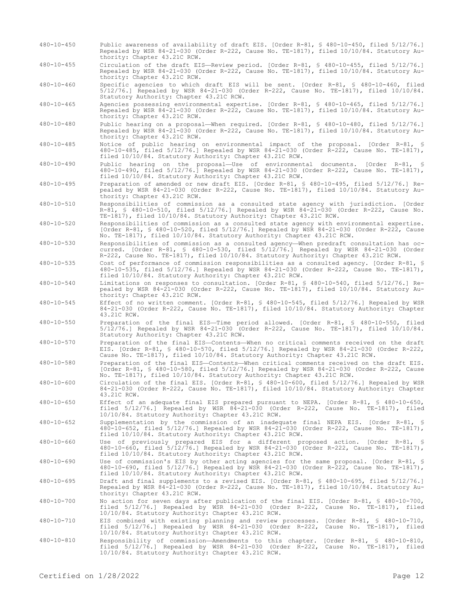- 480-10-450 Public awareness of availability of draft EIS. [Order R-81, § 480-10-450, filed 5/12/76.] Repealed by WSR 84-21-030 (Order R-222, Cause No. TE-1817), filed 10/10/84. Statutory Authority: Chapter 43.21C RCW.
- 480-10-455 Circulation of the draft EIS—Review period. [Order R-81, § 480-10-455, filed 5/12/76.] Repealed by WSR 84-21-030 (Order R-222, Cause No. TE-1817), filed 10/10/84. Statutory Authority: Chapter 43.21C RCW.
- 480-10-460 Specific agencies to which draft EIS will be sent. [Order R-81, § 480-10-460, filed 5/12/76.] Repealed by WSR 84-21-030 (Order R-222, Cause No. TE-1817), filed 10/10/84. Statutory Authority: Chapter 43.21C RCW.

480-10-465 Agencies possessing environmental expertise. [Order R-81, § 480-10-465, filed 5/12/76.] Repealed by WSR 84-21-030 (Order R-222, Cause No. TE-1817), filed 10/10/84. Statutory Authority: Chapter 43.21C RCW.

480-10-480 Public hearing on a proposal—When required. [Order R-81, § 480-10-480, filed 5/12/76.] Repealed by WSR 84-21-030 (Order R-222, Cause No. TE-1817), filed 10/10/84. Statutory Authority: Chapter 43.21C RCW.

480-10-485 Notice of public hearing on environmental impact of the proposal. [Order R-81, § 480-10-485, filed 5/12/76.] Repealed by WSR 84-21-030 (Order R-222, Cause No. TE-1817), filed 10/10/84. Statutory Authority: Chapter 43.21C RCW.

480-10-490 Public hearing on the proposal—Use of environmental documents. [Order R-81, § 480-10-490, filed 5/12/76.] Repealed by WSR 84-21-030 (Order R-222, Cause No. TE-1817), filed 10/10/84. Statutory Authority: Chapter 43.21C RCW.

480-10-495 Preparation of amended or new draft EIS. [Order R-81, § 480-10-495, filed 5/12/76.] Repealed by WSR 84-21-030 (Order R-222, Cause No. TE-1817), filed 10/10/84. Statutory Authority: Chapter 43.21C RCW.

480-10-510 Responsibilities of commission as a consulted state agency with jurisdiction. [Order R-81, § 480-10-510, filed 5/12/76.] Repealed by WSR 84-21-030 (Order R-222, Cause No. TE-1817), filed 10/10/84. Statutory Authority: Chapter 43.21C RCW.

480-10-520 Responsibilities of commission as a consulted state agency with environmental expertise. [Order R-81, § 480-10-520, filed 5/12/76.] Repealed by WSR 84-21-030 (Order R-222, Cause No. TE-1817), filed 10/10/84. Statutory Authority: Chapter 43.21C RCW.

480-10-530 Responsibilities of commission as a consulted agency—When predraft consultation has occurred. [Order R-81, § 480-10-530, filed 5/12/76.] Repealed by WSR 84-21-030 (Order R-222, Cause No. TE-1817), filed 10/10/84. Statutory Authority: Chapter 43.21C RCW.

480-10-535 Cost of performance of commission responsibilities as a consulted agency. [Order R-81, § 480-10-535, filed 5/12/76.] Repealed by WSR 84-21-030 (Order R-222, Cause No. TE-1817), filed 10/10/84. Statutory Authority: Chapter 43.21C RCW.

480-10-540 Limitations on responses to consultation. [Order R-81, § 480-10-540, filed 5/12/76.] Repealed by WSR 84-21-030 (Order R-222, Cause No. TE-1817), filed 10/10/84. Statutory Authority: Chapter 43.21C RCW.

- 480-10-545 Effect of no written comment. [Order R-81, § 480-10-545, filed 5/12/76.] Repealed by WSR 84-21-030 (Order R-222, Cause No. TE-1817), filed 10/10/84. Statutory Authority: Chapter 43.21C RCW.
- 480-10-550 Preparation of the final EIS—Time period allowed. [Order R-81, § 480-10-550, filed 5/12/76.] Repealed by WSR 84-21-030 (Order R-222, Cause No. TE-1817), filed 10/10/84. Statutory Authority: Chapter 43.21C RCW.

480-10-570 Preparation of the final EIS—Contents—When no critical comments received on the draft EIS. [Order R-81, § 480-10-570, filed 5/12/76.] Repealed by WSR 84-21-030 (Order R-222, Cause No. TE-1817), filed 10/10/84. Statutory Authority: Chapter 43.21C RCW.

- 480-10-580 Preparation of the final EIS—Contents—When critical comments received on the draft EIS. [Order R-81, § 480-10-580, filed 5/12/76.] Repealed by WSR 84-21-030 (Order R-222, Cause No. TE-1817), filed 10/10/84. Statutory Authority: Chapter 43.21C RCW.
- 480-10-600 Circulation of the final EIS. [Order R-81, § 480-10-600, filed 5/12/76.] Repealed by WSR 84-21-030 (Order R-222, Cause No. TE-1817), filed 10/10/84. Statutory Authority: Chapter 43.21C RCW.
- 480-10-650 Effect of an adequate final EIS prepared pursuant to NEPA. [Order R-81, § 480-10-650, filed 5/12/76.] Repealed by WSR 84-21-030 (Order R-222, Cause No. TE-1817), filed 10/10/84. Statutory Authority: Chapter 43.21C RCW.
- 480-10-652 Supplementation by the commission of an inadequate final NEPA EIS. [Order R-81, § 480-10-652, filed 5/12/76.] Repealed by WSR 84-21-030 (Order R-222, Cause No. TE-1817), filed 10/10/84. Statutory Authority: Chapter 43.21C RCW.

480-10-660 Use of previously prepared EIS for a different proposed action. [Order R-81, § 480-10-660, filed 5/12/76.] Repealed by WSR 84-21-030 (Order R-222, Cause No. TE-1817), filed 10/10/84. Statutory Authority: Chapter 43.21C RCW.

480-10-690 Use of commission's EIS by other acting agencies for the same proposal. [Order R-81, § 480-10-690, filed 5/12/76.] Repealed by WSR 84-21-030 (Order R-222, Cause No. TE-1817), filed 10/10/84. Statutory Authority: Chapter 43.21C RCW.

480-10-695 Draft and final supplements to a revised EIS. [Order R-81, § 480-10-695, filed 5/12/76.] Repealed by WSR 84-21-030 (Order R-222, Cause No. TE-1817), filed 10/10/84. Statutory Authority: Chapter 43.21C RCW.

- 480-10-700 No action for seven days after publication of the final EIS. [Order R-81, § 480-10-700, filed 5/12/76.] Repealed by WSR 84-21-030 (Order R-222, Cause No. TE-1817), filed 10/10/84. Statutory Authority: Chapter 43.21C RCW.
- 480-10-710 EIS combined with existing planning and review processes. [Order R-81, § 480-10-710, filed 5/12/76.] Repealed by WSR 84-21-030 (Order R-222, Cause No. TE-1817), filed 10/10/84. Statutory Authority: Chapter 43.21C RCW.
- 480-10-810 Responsibility of commission—Amendments to this chapter. [Order R-81, § 480-10-810, filed 5/12/76.] Repealed by WSR 84-21-030 (Order R-222, Cause No. TE-1817), filed 10/10/84. Statutory Authority: Chapter 43.21C RCW.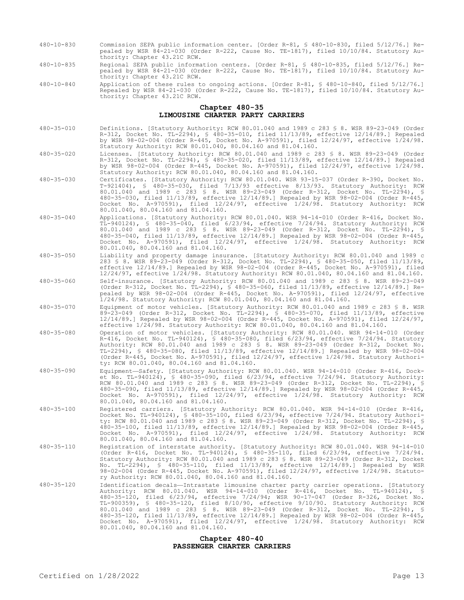- 480-10-830 Commission SEPA public information center. [Order R-81, § 480-10-830, filed 5/12/76.] Repealed by WSR 84-21-030 (Order R-222, Cause No. TE-1817), filed 10/10/84. Statutory Authority: Chapter 43.21C RCW.
- 480-10-835 Regional SEPA public information centers. [Order R-81, § 480-10-835, filed 5/12/76.] Repealed by WSR 84-21-030 (Order R-222, Cause No. TE-1817), filed 10/10/84. Statutory Authority: Chapter 43.21C RCW.
- 480-10-840 Application of these rules to ongoing actions. [Order R-81, § 480-10-840, filed 5/12/76.] Repealed by WSR 84-21-030 (Order R-222, Cause No. TE-1817), filed 10/10/84. Statutory Authority: Chapter 43.21C RCW.

#### **Chapter 480-35 LIMOUSINE CHARTER PARTY CARRIERS**

- 480-35-010 Definitions. [Statutory Authority: RCW 80.01.040 and 1989 c 283 § 8. WSR 89-23-049 (Order R-312, Docket No. TL-2294), § 480-35-010, filed 11/13/89, effective 12/14/89.] Repealed by WSR 98-02-004 (Order R-445, Docket No. A-970591), filed 12/24/97, effective 1/24/98. Statutory Authority: RCW 80.01.040, 80.04.160 and 81.04.160.
- 480-35-020 Licenses. [Statutory Authority: RCW 80.01.040 and 1989 c 283 § 8. WSR 89-23-049 (Order R-312, Docket No. TL-2294), § 480-35-020, filed 11/13/89, effective 12/14/89.] Repealed by WSR 98-02-004 (Order R-445, Docket No. A-970591), filed 12/24/97, effective 1/24/98. Statutory Authority: RCW 80.01.040, 80.04.160 and 81.04.160.
- 480-35-030 Certificates. [Statutory Authority: RCW 80.01.040. WSR 93-15-037 (Order R-390, Docket No. T-921404), § 480-35-030, filed 7/13/93 effective 8/13/93. Statutory Authority: RCW 80.01.040 and 1989 c 283 § 8. WSR 89-23-049 (Order R-312, Docket No. TL-2294), § 480-35-030, filed 11/13/89, effective 12/14/89.] Repealed by WSR 98-02-004 (Order R-445, Docket No. A-970591), filed 12/24/97, effective 1/24/98. Statutory Authority: RCW 80.01.040, 80.04.160 and 81.04.160.
- 480-35-040 Applications. [Statutory Authority: RCW 80.01.040. WSR 94-14-010 (Order R-416, Docket No. TL-940124), § 480-35-040, filed 6/23/94, effective 7/24/94. Statutory Authority: RCW 80.01.040 and 1989 c 283 § 8. WSR 89-23-049 (Order R-312, Docket No. TL-2294), § 480-35-040, filed 11/13/89, effective 12/14/89.] Repealed by WSR 98-02-004 (Order R-445, Docket No. A-970591), filed 12/24/97, effective 1/24/98. Statutory Authority: RCW 80.01.040, 80.04.160 and 81.04.160.
- 480-35-050 Liability and property damage insurance. [Statutory Authority: RCW 80.01.040 and 1989 c 283 § 8. WSR 89-23-049 (Order R-312, Docket No. TL-2294), § 480-35-050, filed 11/13/89, effective 12/14/89.] Repealed by WSR 98-02-004 (Order R-445, Docket No. A-970591), filed 12/24/97, effective 1/24/98. Statutory Authority: RCW 80.01.040, 80.04.160 and 81.04.160. 480-35-060 Self-insurance. [Statutory Authority: RCW 80.01.040 and 1989 c 283 § 8. WSR 89-23-049 (Order R-312, Docket No. TL-2294), § 480-35-060, filed 11/13/89, effective 12/14/89.] Repealed by WSR 98-02-004 (Order R-445, Docket No. A-970591), filed 12/24/97, effective 1/24/98. Statutory Authority: RCW 80.01.040, 80.04.160 and 81.04.160.
- 480-35-070 Equipment of motor vehicles. [Statutory Authority: RCW 80.01.040 and 1989 c 283 § 8. WSR 89-23-049 (Order R-312, Docket No. TL-2294), § 480-35-070, filed 11/13/89, effective 12/14/89.] Repealed by WSR 98-02-004 (Order R-445, Docket No. A-970591), filed 12/24/97, effective 1/24/98. Statutory Authority: RCW 80.01.040, 80.04.160 and 81.04.160.
- 480-35-080 Operation of motor vehicles. [Statutory Authority: RCW 80.01.040. WSR 94-14-010 (Order R-416, Docket No. TL-940124), § 480-35-080, filed 6/23/94, effective 7/24/94. Statutory Authority: RCW 80.01.040 and 1989 c 283 § 8. WSR 89-23-049 (Order R-312, Docket No. TL-2294), § 480-35-080, filed 11/13/89, effective 12/14/89.] Repealed by WSR 98-02-004 (Order R-445, Docket No. A-970591), filed 12/24/97, effective 1/24/98. Statutory Authority: RCW 80.01.040, 80.04.160 and 81.04.160.
- 480-35-090 Equipment—Safety. [Statutory Authority: RCW 80.01.040. WSR 94-14-010 (Order R-416, Docket No. TL-940124), § 480-35-090, filed 6/23/94, effective 7/24/94. Statutory Authority: RCW 80.01.040 and 1989 c 283 § 8. WSR 89-23-049 (Order R-312, Docket No. TL-2294), § 480-35-090, filed 11/13/89, effective 12/14/89.] Repealed by WSR 98-02-004 (Order R-445, Docket No. A-970591), filed 12/24/97, effective 1/24/98. Statutory Authority: RCW 80.01.040, 80.04.160 and 81.04.160.
- 480-35-100 Registered carriers. [Statutory Authority: RCW 80.01.040. WSR 94-14-010 (Order R-416, Docket No. TL-940124), § 480-35-100, filed 6/23/94, effective 7/24/94. Statutory Authority: RCW 80.01.040 and 1989 c 283 § 8. WSR 89-23-049 (Order R-312, Docket No. TL-2294), § 480-35-100, filed 11/13/89, effective 12/14/89.] Repealed by WSR 98-02-004 (Order R-445, Docket No. A-970591), filed 12/24/97, effective 1/24/98. Statutory Authority: RCW 80.01.040, 80.04.160 and 81.04.160.
- 480-35-110 Registration of interstate authority. [Statutory Authority: RCW 80.01.040. WSR 94-14-010 (Order R-416, Docket No. TL-940124), § 480-35-110, filed 6/23/94, effective 7/24/94. Statutory Authority: RCW 80.01.040 and 1989 c 283 § 8. WSR 89-23-049 (Order R-312, Docket No. TL-2294), § 480-35-110, filed 11/13/89, effective 12/14/89.] Repealed by WSR 98-02-004 (Order R-445, Docket No. A-970591), filed 12/24/97, effective 1/24/98. Statutory Authority: RCW 80.01.040, 80.04.160 and 81.04.160.
- 480-35-120 Identification decals—Intrastate limousine charter party carrier operations. [Statutory Authority: RCW 80.01.040. WSR 94-14-010 (Order R-416, Docket No. TL-940124), § 480-35-120, filed 6/23/94, effective 7/24/94; WSR 90-17-047 (Order R-326, Docket No.<br>TL-900359), § 480-35-120, filed 8/10/90, effective 9/10/90. Statutory Authority: RCW<br>80.01.040 and 1989 c 283 § 8. WSR 89-23-049 (Order R 480-35-120, filed 11/13/89, effective 12/14/89.] Repealed by WSR 98-02-004 (Order R-445, Docket No. A-970591), filed 12/24/97, effective 1/24/98. Statutory Authority: RCW 80.01.040, 80.04.160 and 81.04.160.

# **Chapter 480-40 PASSENGER CHARTER CARRIERS**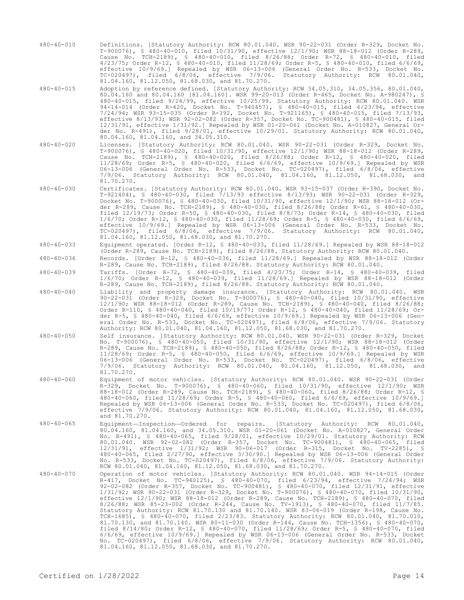- 480-40-010 Definitions. [Statutory Authority: RCW 80.01.040. WSR 90-22-031 (Order R-329, Docket No. T-900076), § 480-40-010, filed 10/31/90, effective 12/1/90; WSR 88-18-012 (Order R-289, Cause No. TCH-2189), § 480-40-010, filed 8/26/88; Order R-72, § 480-40-010, filed 4/23/75; Order R-12, § 480-40-010, filed 11/28/69; Order R-5, § 480-40-010, filed 6/6/69, effective 10/9/69.] Repealed by WSR 06-13-006 (General Order No. R-533, Docket No. TC-020497), filed 6/8/06, effective 7/9/06. Statutory Authority: RCW 80.01.040, 81.04.160, 81.12.050, 81.68.030, and 81.70.270.
- 480-40-015 Adoption by reference defined. [Statutory Authority: RCW 34.05.310, 34.05.356, 80.01.040, 80.04.160 and 80.04.160 [81.04.160]. WSR 99-20-013 (Order R-465, Docket No. A-980247), § 480-40-015, filed 9/24/99, effective 10/25/99. Statutory Authority: RCW 80.01.040. WSR 94-14-014 (Order R-420, Docket No. T-940457), § 480-40-015, filed 6/23/94, effective 7/24/94; WSR 93-15-035 (Order R-392, Docket No. T-921165), § 480-40-015, filed 7/13/93, effective 8/13/93; WSR 92-02-082 (Order R-357, Docket No. TC-900481), § 480-40-015, filed 12/31/91, effective 1/31/92.] Repealed by WSR 01-20-061 (Docket No. A-010827, General Order No. R-491), filed 9/28/01, effective 10/29/01. Statutory Authority: RCW 80.01.040, 80.04.160, 81.04.160, and 34.05.310.
- 480-40-020 Licenses. [Statutory Authority: RCW 80.01.040. WSR 90-22-031 (Order R-329, Docket No. T-900076), § 480-40-020, filed 10/31/90, effective 12/1/90; WSR 88-18-012 (Order R-289, Cause No. TCH-2189), § 480-40-020, filed 8/26/88; Order R-12, § 480-40-020, filed 11/28/69; Order R-5, § 480-40-020, filed 6/6/69, effective 10/9/69.] Repealed by WSR 06-13-006 (General Order No. R-533, Docket No. TC-020497), filed 6/8/06, effective 7/9/06. Statutory Authority: RCW 80.01.040, 81.04.160, 81.12.050, 81.68.030, and 81.70.270.
- 480-40-030 Certificates. [Statutory Authority: RCW 80.01.040. WSR 93-15-037 (Order R-390, Docket No. T-921404), § 480-40-030, filed 7/13/93 effective 8/13/93; WSR 90-22-031 (Order R-329, Docket No. T-900076), § 480-40-030, filed 10/31/90, effective 12/1/90; WSR 88-18-012 (Order R-289, Cause No. TCH-2189), § 480-40-030, filed 8/26/88; Order R-61, § 480-40-030, filed 12/19/73; Order R-50, § 480-40-030, filed 8/8/73; Order R-14, § 480-40-030, filed 1/6/70; Order R-12, § 480-40-030, filed 11/28/69; Order R-5, § 480-40-030, filed 6/6/69, effective 10/9/69.] Repealed by WSR 06-13-006 (General Order No. R-533, Docket No. TC-020497), filed 6/8/06, effective 7/9/06. Statutory Authority: RCW 80.01.040, 81.04.160, 81.12.050, 81.68.030, and 81.70.270.
- 480-40-033 Equipment operated. [Order R-12, § 480-40-033, filed 11/28/69.] Repealed by WSR 88-18-012 (Order R-289, Cause No. TCH-2189), filed 8/26/88. Statutory Authority: RCW 80.01.040.
- 480-40-036 Records. [Order R-12, § 480-40-036, filed 11/28/69.] Repealed by WSR 88-18-012 (Order R-289, Cause No. TCH-2189), filed 8/26/88. Statutory Authority: RCW 80.01.040.
- 480-40-039 Tariffs. [Order R-72, § 480-40-039, filed 4/23/75; Order R-14, § 480-40-039, filed 1/6/70; Order R-12, § 480-40-039, filed 11/28/69.] Repealed by WSR 88-18-012 (Order R-289, Cause No. TCH-2189), filed 8/26/88. Statutory Authority: RCW 80.01.040.
- 480-40-040 Liability and property damage insurance. [Statutory Authority: RCW 80.01.040. WSR 90-22-031 (Order R-329, Docket No. T-900076), § 480-40-040, filed 10/31/90, effective 12/1/90; WSR 88-18-012 (Order R-289, Cause No. TCH-2189), § 480-40-040, filed 8/26/88; Order R-110, § 480-40-040, filed 10/19/77; Order R-12, § 480-40-040, filed 11/28/69; Order R-5, § 480-40-040, filed 6/6/69, effective 10/9/69.] Repealed by WSR 06-13-006 (General Order No. R-533, Docket No. TC-020497), filed 6/8/06, effective 7/9/06. Statutory Authority: RCW 80.01.040, 81.04.160, 81.12.050, 81.68.030, and 81.70.270.
- 480-40-050 Self insurance. [Statutory Authority: RCW 80.01.040. WSR 90-22-031 (Order R-329, Docket No. T-900076), § 480-40-050, filed 10/31/90, effective 12/1/90; WSR 88-18-012 (Order R-289, Cause No. TCH-2189), § 480-40-050, filed 8/26/88; Order R-12, § 480-40-050, filed 11/28/69; Order R-5, § 480-40-050, filed 6/6/69, effective 10/9/69.] Repealed by WSR 06-13-006 (General Order No. R-533, Docket No. TC-020497), filed 6/8/06, effective 7/9/06. Statutory Authority: RCW 80.01.040, 81.04.160, 81.12.050, 81.68.030, and 81.70.270.
- 480-40-060 Equipment of motor vehicles. [Statutory Authority: RCW 80.01.040. WSR 90-22-031 (Order R-329, Docket No. T-900076), § 480-40-060, filed 10/31/90, effective 12/1/90; WSR 88-18-012 (Order R-289, Cause No. TCH-2189), § 480-40-060, filed 8/26/88; Order R-12, § 480-40-060, filed 11/28/69; Order R-5, § 480-40-060, filed 6/6/69, effective 10/9/69.] Repealed by WSR 06-13-006 (General Order No. R-533, Docket No. TC-020497), filed 6/8/06, effective 7/9/06. Statutory Authority: RCW 80.01.040, 81.04.160, 81.12.050, 81.68.030, and 81.70.270.
- 480-40-065 Equipment—Inspection—Ordered for repairs. [Statutory Authority: RCW 80.01.040, 80.04.160, 81.04.160, and 34.05.310. WSR 01-20-061 (Docket No. A-010827, General Order No. R-491), § 480-40-065, filed 9/28/01, effective 10/29/01. Statutory Authority: RCW 80.01.040. WSR 92-02-082 (Order R-357, Docket No. TC-900481), § 480-40-065, filed 12/31/91, effective 1/31/92; WSR 90-06-017 (Order R-315, Docket No. TV-2285), § 480-40-065, filed 2/27/90, effective 3/30/90.] Repealed by WSR 06-13-006 (General Order No. R-533, Docket No. TC-020497), filed 6/8/06, effective 7/9/06. Statutory Authority: RCW 80.01.040, 81.04.160, 81.12.050, 81.68.030, and 81.70.270.
- 480-40-070 Operation of motor vehicles. [Statutory Authority: RCW 80.01.040. WSR 94-14-015 (Order R-417, Docket No. TC-940125), § 480-40-070, filed 6/23/94, effective 7/24/94; WSR 92-02-082 (Order R-357, Docket No. TC-900481), § 480-40-070, filed 12/31/91, effective 1/31/92; WSR 90-22-031 (Order R-329, Docket No. T-900076), § 480-40-070, filed 10/31/90, effective 12/1/90; WSR 88-18-012 (Order R-289, Cause No. TCH-2189), § 480-40-070, filed 8/26/88; WSR 85-23-002 (Order R-244, Cause No. TV-1913), § 480-40-070, filed 11/7/85. Statutory Authority: RCW 81.70.130 and 81.70.140. WSR 83-06-019 (Order R-198, Cause No. TCH-1685), § 480-40-070, filed 2/23/83. Statutory Authority: RCW 80.01.040, 81.70.010, 81.70.130, and 81.70.140. WSR 80-11-030 (Order R-144, Cause No. TCH-1356), § 480-40-070, filed 8/14/80; Order R-12, § 480-40-070, filed 11/28/69; Order R-5, § 480-40-070, filed 6/6/69, effective 10/9/69.] Repealed by WSR 06-13-006 (General Order No. R-533, Docket No. TC-020497), filed 6/8/06, effective 7/9/06. Statutory Authority: RCW 80.01.040, 81.04.160, 81.12.050, 81.68.030, and 81.70.270.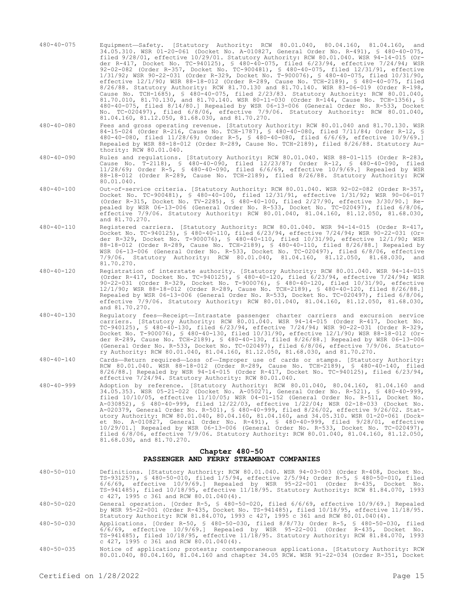|                  | 34.05.310. WSR 01-20-061 (Docket No. A-010827, General Order No. R-491), § 480-40-075,<br>filed 9/28/01, effective 10/29/01. Statutory Authority: RCW 80.01.040. WSR 94-14-015 (Or-<br>der R-417, Docket No. TC-940125), § 480-40-075, filed 6/23/94, effective 7/24/94; WSR<br>92-02-082 (Order R-357, Docket No. TC-900481), § 480-40-075, filed 12/31/91, effective<br>$1/31/92$ ; WSR 90-22-031 (Order R-329, Docket No. T-900076), § 480-40-075, filed 10/31/90,<br>effective 12/1/90; WSR 88-18-012 (Order R-289, Cause No. TCH-2189), § 480-40-075, filed<br>8/26/88. Statutory Authority: RCW 81.70.130 and 81.70.140. WSR 83-06-019 (Order R-198,<br>Cause No. TCH-1685), § 480-40-075, filed 2/23/83. Statutory Authority: RCW 80.01.040,<br>81.70.010, 81.70.130, and 81.70.140. WSR 80-11-030 (Order R-144, Cause No. TCH-1356), §<br>480-40-075, filed 8/14/80.] Repealed by WSR 06-13-006 (General Order No. R-533, Docket<br>No. TC-020497), filed 6/8/06, effective 7/9/06. Statutory Authority: RCW 80.01.040,<br>81.04.160, 81.12.050, 81.68.030, and 81.70.270. |
|------------------|------------------------------------------------------------------------------------------------------------------------------------------------------------------------------------------------------------------------------------------------------------------------------------------------------------------------------------------------------------------------------------------------------------------------------------------------------------------------------------------------------------------------------------------------------------------------------------------------------------------------------------------------------------------------------------------------------------------------------------------------------------------------------------------------------------------------------------------------------------------------------------------------------------------------------------------------------------------------------------------------------------------------------------------------------------------------------------|
| $480 - 40 - 080$ | Fees and gross operating revenue. [Statutory Authority: RCW 80.01.040 and 81.70.130. WSR<br>84-15-024 (Order R-216, Cause No. TCH-1787), § 480-40-080, filed 7/11/84; Order R-12, §<br>480-40-080, filed 11/28/69; Order R-5, § 480-40-080, filed 6/6/69, effective 10/9/69.]<br>Repealed by WSR 88-18-012 (Order R-289, Cause No. TCH-2189), filed 8/26/88. Statutory Au-<br>thority: RCW 80.01.040.                                                                                                                                                                                                                                                                                                                                                                                                                                                                                                                                                                                                                                                                              |
| $480 - 40 - 090$ | Rules and regulations. [Statutory Authority: RCW 80.01.040. WSR 88-01-115 (Order R-283,<br>Cause No. T-2118), § 480-40-090, filed 12/23/87; Order R-12, § 480-40-090, filed<br>11/28/69; Order R-5, § 480-40-090, filed 6/6/69, effective 10/9/69.] Repealed by WSR<br>88-18-012 (Order R-289, Cause No. TCH-2189), filed 8/26/88. Statutory Authority: RCW<br>80.01.040.                                                                                                                                                                                                                                                                                                                                                                                                                                                                                                                                                                                                                                                                                                          |
| $480 - 40 - 100$ | Out-of-service criteria. [Statutory Authority: RCW 80.01.040. WSR 92-02-082 (Order R-357,<br>Docket No. TC-900481), § 480-40-100, filed 12/31/91, effective 1/31/92; WSR 90-06-017<br>(Order R-315, Docket No. TV-2285), § 480-40-100, filed 2/27/90, effective 3/30/90.] Re-<br>pealed by WSR 06-13-006 (General Order No. R-533, Docket No. TC-020497), filed 6/8/06,<br>effective 7/9/06. Statutory Authority: RCW 80.01.040, 81.04.160, 81.12.050, 81.68.030,<br>and 81.70.270.                                                                                                                                                                                                                                                                                                                                                                                                                                                                                                                                                                                                |
| $480 - 40 - 110$ | Registered carriers. [Statutory Authority: RCW 80.01.040. WSR 94-14-015 (Order R-417,<br>Docket No. TC-940125), § 480-40-110, filed 6/23/94, effective 7/24/94; WSR 90-22-031 (Or-<br>der R-329, Docket No. T-900076), § 480-40-110, filed 10/31/90, effective 12/1/90; WSR<br>88-18-012 (Order R-289, Cause No. TCH-2189), § 480-40-110, filed 8/26/88.] Repealed by<br>WSR 06-13-006 (General Order No. R-533, Docket No. TC-020497), filed 6/8/06, effective<br>7/9/06. Statutory Authority: RCW 80.01.040, 81.04.160, 81.12.050, 81.68.030,<br>and<br>81.70.270.                                                                                                                                                                                                                                                                                                                                                                                                                                                                                                               |
| $480 - 40 - 120$ | Registration of interstate authority. [Statutory Authority: RCW 80.01.040. WSR 94-14-015<br>(Order R-417, Docket No. TC-940125), § 480-40-120, filed 6/23/94, effective 7/24/94; WSR<br>90-22-031 (Order R-329, Docket No. T-900076), § 480-40-120, filed 10/31/90, effective<br>12/1/90; WSR 88-18-012 (Order R-289, Cause No. TCH-2189), § 480-40-120, filed 8/26/88.]<br>Repealed by WSR 06-13-006 (General Order No. R-533, Docket No. TC-020497), filed $6/8/06$ ,<br>effective 7/9/06. Statutory Authority: RCW 80.01.040, 81.04.160, 81.12.050, 81.68.030,<br>and 81.70.270.                                                                                                                                                                                                                                                                                                                                                                                                                                                                                                |
| $480 - 40 - 130$ | Requlatory fees—Receipt—Intrastate passenger charter carriers and excursion service<br>carriers. [Statutory Authority: RCW 80.01.040. WSR 94-14-015 (Order R-417, Docket No.<br>TC-940125), § 480-40-130, filed 6/23/94, effective 7/24/94; WSR 90-22-031 (Order R-329,<br>Docket No. T-900076), § 480-40-130, filed 10/31/90, effective 12/1/90; WSR 88-18-012 (Or-<br>der R-289, Cause No. TCH-2189), § 480-40-130, filed 8/26/88.] Repealed by WSR 06-13-006<br>(General Order No. R-533, Docket No. TC-020497), filed 6/8/06, effective 7/9/06. Statuto-<br>ry Authority: RCW 80.01.040, 81.04.160, 81.12.050, 81.68.030, and 81.70.270.                                                                                                                                                                                                                                                                                                                                                                                                                                       |
| $480 - 40 - 140$ | Cards-Return required-Loss of-Improper use of cards or stamps. [Statutory Authority:<br>RCW 80.01.040. WSR 88-18-012 (Order R-289, Cause No. TCH-2189), § 480-40-140, filed<br>$8/26/88$ .] Repealed by WSR 94-14-015 (Order R-417, Docket No. TC-940125), filed $6/23/94$ ,<br>effective 7/24/94. Statutory Authority: RCW 80.01.040.                                                                                                                                                                                                                                                                                                                                                                                                                                                                                                                                                                                                                                                                                                                                             |
| $480 - 40 - 999$ | Adoption by reference. [Statutory Authority: RCW 80.01.040, 80.04.160, 81.04.160 and<br>34.05.353. WSR 05-21-022 (Docket No. A-050271, General Order No. R-521), § 480-40-999,<br>filed $10/10/05$ , effective $11/10/05$ ; WSR 04-01-152 (General Order No. R-511, Docket No.<br>A-030852), § 480-40-999, filed 12/22/03, effective 1/22/04; WSR 02-18-033 (Docket No.<br>A-020379, General Order No. R-501), § 480-40-999, filed 8/26/02, effective 9/26/02. Stat-<br>utory Authority: RCW 80.01.040, 80.04.160, 81.04.160, and 34.05.310. WSR 01-20-061 (Dock-<br>et No. A-010827, General Order No. R-491), § 480-40-999, filed $9/28/01$ , effective<br>10/29/01.] Repealed by WSR 06-13-006 (General Order No. R-533, Docket No. TC-020497),<br>filed 6/8/06, effective 7/9/06. Statutory Authority: RCW 80.01.040, 81.04.160, 81.12.050,<br>81.68.030, and 81.70.270.                                                                                                                                                                                                       |
|                  | Chapter 480-50<br>PASSENGER AND FERRY STEAMBOAT COMPANIES                                                                                                                                                                                                                                                                                                                                                                                                                                                                                                                                                                                                                                                                                                                                                                                                                                                                                                                                                                                                                          |
| $480 - 50 - 010$ | Definitions. [Statutory Authority: RCW 80.01.040. WSR 94-03-003 (Order R-408, Docket No.<br>TS-931257), § 480-50-010, filed 1/5/94, effective 2/5/94; Order R-5, § 480-50-010, filed<br>$6/6/69$ , effective $10/9/69$ . Repealed by WSR $95-22-001$ (Order R-435, Docket No.<br>TS-941485), filed 10/18/95, effective 11/18/95. Statutory Authority: RCW 81.84.070, 1993<br>c $427$ , $1995$ c $361$ and RCW $80.01.040(4)$ .                                                                                                                                                                                                                                                                                                                                                                                                                                                                                                                                                                                                                                                     |

480-40-075 Equipment—Safety. [Statutory Authority: RCW 80.01.040, 80.04.160, 81.04.160, and

- 480-50-020 General operation. [Order R-5, § 480-50-020, filed 6/6/69, effective 10/9/69.] Repealed by WSR 95-22-001 (Order R-435, Docket No. TS-941485), filed 10/18/95, effective 11/18/95. Statutory Authority: RCW 81.84.070, 1993 c 427, 1995 c 361 and RCW 80.01.040(4).
- 480-50-030 Applications. [Order R-50, § 480-50-030, filed 8/8/73; Order R-5, § 480-50-030, filed 6/6/69, effective 10/9/69.] Repealed by WSR 95-22-001 (Order R-435, Docket No. TS-941485), filed 10/18/95, effective 11/18/95. Statutory Authority: RCW 81.84.070, 1993 c 427, 1995 c 361 and RCW 80.01.040(4).
- 480-50-035 Notice of application; protests; contemporaneous applications. [Statutory Authority: RCW 80.01.040, 80.04.160, 81.04.160 and chapter 34.05 RCW. WSR 91-22-034 (Order R-351, Docket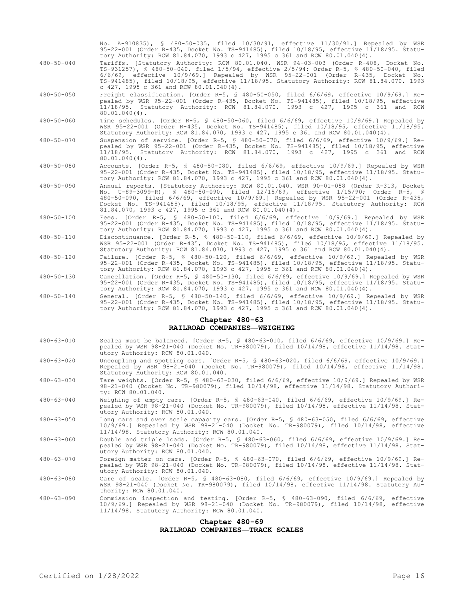No. A-910835), § 480-50-035, filed 10/30/91, effective 11/30/91.] Repealed by WSR 95-22-001 (Order R-435, Docket No. TS-941485), filed 10/18/95, effective 11/18/95. Statutory Authority: RCW 81.84.070, 1993 c 427, 1995 c 361 and RCW 80.01.040(4).

- 480-50-040 Tariffs. [Statutory Authority: RCW 80.01.040. WSR 94-03-003 (Order R-408, Docket No. TS-931257), § 480-50-040, filed 1/5/94, effective 2/5/94; Order R-5, § 480-50-040, filed 6/6/69, effective 10/9/69.] Repealed by WSR 95-22-001 (Order R-435, Docket No. TS-941485), filed 10/18/95, effective 11/18/95. Statutory Authority: RCW 81.84.070, 1993 c 427, 1995 c 361 and RCW 80.01.040(4).
- 480-50-050 Freight classification. [Order R-5, § 480-50-050, filed 6/6/69, effective 10/9/69.] Repealed by WSR 95-22-001 (Order R-435, Docket No. TS-941485), filed 10/18/95, effective 11/18/95. Statutory Authority: RCW 81.84.070, 1993 c 427, 1995 c 361 and RCW  $80.01,040(4)$ .
- 480-50-060 Time schedules. [Order R-5, § 480-50-060, filed 6/6/69, effective 10/9/69.] Repealed by WSR 95-22-001 (Order R-435, Docket No. TS-941485), filed 10/18/95, effective 11/18/95. Statutory Authority: RCW 81.84.070, 1993 c 427, 1995 c 361 and RCW 80.01.040(4).
- 480-50-070 Suspension of service. [Order R-5, § 480-50-070, filed 6/6/69, effective 10/9/69.] Repealed by WSR 95-22-001 (Order R-435, Docket No. TS-941485), filed 10/18/95, effective 11/18/95. Statutory Authority: RCW 81.84.070, 1993 c 427, 1995 c 361 and RCW  $80.01.040(4)$ .
- 480-50-080 Accounts. [Order R-5, § 480-50-080, filed 6/6/69, effective 10/9/69.] Repealed by WSR 95-22-001 (Order R-435, Docket No. TS-941485), filed 10/18/95, effective 11/18/95. Statutory Authority: RCW 81.84.070, 1993 c 427, 1995 c 361 and RCW 80.01.040(4).
- 480-50-090 Annual reports. [Statutory Authority: RCW 80.01.040. WSR 90-01-058 (Order R-313, Docket No. U-89-3099-R), § 480-50-090, filed 12/15/89, effective 1/15/90; Order R-5, § 480-50-090, filed 6/6/69, effective 10/9/69.] Repealed by WSR 95-22-001 (Order R-435, Docket No. TS-941485), filed 10/18/95, effective 11/18/95. Statutory Authority: RCW 81.84.070, 1993 c 427, 1995 c 361 and RCW 80.01.040(4).
- 480-50-100 Fees. [Order R-5, § 480-50-100, filed 6/6/69, effective 10/9/69.] Repealed by WSR 95-22-001 (Order R-435, Docket No. TS-941485), filed 10/18/95, effective 11/18/95. Statutory Authority: RCW 81.84.070, 1993 c 427, 1995 c 361 and RCW 80.01.040(4).
- 480-50-110 Discontinuance. [Order R-5, § 480-50-110, filed 6/6/69, effective 10/9/69.] Repealed by WSR 95-22-001 (Order R-435, Docket No. TS-941485), filed 10/18/95, effective 11/18/95. Statutory Authority: RCW 81.84.070, 1993 c 427, 1995 c 361 and RCW 80.01.040(4).
- 480-50-120 Failure. [Order R-5, § 480-50-120, filed 6/6/69, effective 10/9/69.] Repealed by WSR 95-22-001 (Order R-435, Docket No. TS-941485), filed 10/18/95, effective 11/18/95. Statutory Authority: RCW 81.84.070, 1993 c 427, 1995 c 361 and RCW 80.01.040(4).
- 480-50-130 Cancellation. [Order R-5, § 480-50-130, filed 6/6/69, effective 10/9/69.] Repealed by WSR 95-22-001 (Order R-435, Docket No. TS-941485), filed 10/18/95, effective 11/18/95. Statutory Authority: RCW 81.84.070, 1993 c 427, 1995 c 361 and RCW 80.01.040(4).
- 480-50-140 General. [Order R-5, § 480-50-140, filed 6/6/69, effective 10/9/69.] Repealed by WSR 95-22-001 (Order R-435, Docket No. TS-941485), filed 10/18/95, effective 11/18/95. Statutory Authority: RCW 81.84.070, 1993 c 427, 1995 c 361 and RCW 80.01.040(4).

# **Chapter 480-63 RAILROAD COMPANIES—WEIGHING**

- 480-63-010 Scales must be balanced. [Order R-5, § 480-63-010, filed 6/6/69, effective 10/9/69.] Repealed by WSR 98-21-040 (Docket No. TR-980079), filed 10/14/98, effective 11/14/98. Statutory Authority: RCW 80.01.040.
- 480-63-020 Uncoupling and spotting cars. [Order R-5, § 480-63-020, filed 6/6/69, effective 10/9/69.] Repealed by WSR 98-21-040 (Docket No. TR-980079), filed 10/14/98, effective 11/14/98. Statutory Authority: RCW 80.01.040.
- 480-63-030 Tare weights. [Order R-5, § 480-63-030, filed 6/6/69, effective 10/9/69.] Repealed by WSR 98-21-040 (Docket No. TR-980079), filed 10/14/98, effective 11/14/98. Statutory Authority: RCW 80.01.040.
- 480-63-040 Weighing of empty cars. [Order R-5, § 480-63-040, filed 6/6/69, effective 10/9/69.] Repealed by WSR 98-21-040 (Docket No. TR-980079), filed 10/14/98, effective 11/14/98. Statutory Authority: RCW 80.01.040.
- 480-63-050 Long cars and over scale capacity cars. [Order R-5, § 480-63-050, filed 6/6/69, effective 10/9/69.] Repealed by WSR 98-21-040 (Docket No. TR-980079), filed 10/14/98, effective 11/14/98. Statutory Authority: RCW 80.01.040.
- 480-63-060 Double and triple loads. [Order R-5, § 480-63-060, filed 6/6/69, effective 10/9/69.] Repealed by WSR 98-21-040 (Docket No. TR-980079), filed 10/14/98, effective 11/14/98. Statutory Authority: RCW 80.01.040.
- 480-63-070 Foreign matter on cars. [Order R-5, § 480-63-070, filed 6/6/69, effective 10/9/69.] Repealed by WSR 98-21-040 (Docket No. TR-980079), filed 10/14/98, effective 11/14/98. Statutory Authority: RCW 80.01.040.
- 480-63-080 Care of scale. [Order R-5, § 480-63-080, filed 6/6/69, effective 10/9/69.] Repealed by WSR 98-21-040 (Docket No. TR-980079), filed 10/14/98, effective 11/14/98. Statutory Authority: RCW 80.01.040.
- 480-63-090 Commission inspection and testing. [Order R-5, § 480-63-090, filed 6/6/69, effective<br>10/9/69.] Repealed by WSR 98-21-040 (Docket No. TR-980079), filed 10/14/98, effective<br>11/14/98. Statutory Authority: RCW 80.01

#### **Chapter 480-69**

## **RAILROAD COMPANIES—TRACK SCALES**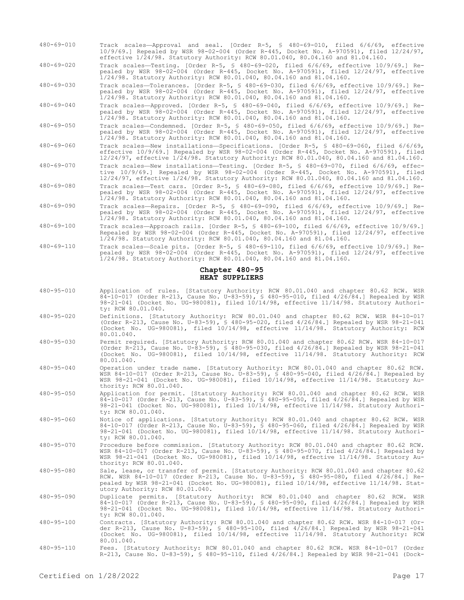- 480-69-010 Track scales—Approval and seal. [Order R-5, § 480-69-010, filed 6/6/69, effective 10/9/69.] Repealed by WSR 98-02-004 (Order R-445, Docket No. A-970591), filed 12/24/97, effective 1/24/98. Statutory Authority: RCW 80.01.040, 80.04.160 and 81.04.160.
- 480-69-020 Track scales—Testing. [Order R-5, § 480-69-020, filed 6/6/69, effective 10/9/69.] Repealed by WSR 98-02-004 (Order R-445, Docket No. A-970591), filed 12/24/97, effective 1/24/98. Statutory Authority: RCW 80.01.040, 80.04.160 and 81.04.160.

480-69-030 Track scales—Tolerances. [Order R-5, § 480-69-030, filed 6/6/69, effective 10/9/69.] Repealed by WSR 98-02-004 (Order R-445, Docket No. A-970591), filed 12/24/97, effective 1/24/98. Statutory Authority: RCW 80.01.040, 80.04.160 and 81.04.160.

480-69-040 Track scales—Approved. [Order R-5, § 480-69-040, filed 6/6/69, effective 10/9/69.] Repealed by WSR 98-02-004 (Order R-445, Docket No. A-970591), filed 12/24/97, effective 1/24/98. Statutory Authority: RCW 80.01.040, 80.04.160 and 81.04.160.

480-69-050 Track scales—Condemned. [Order R-5, § 480-69-050, filed 6/6/69, effective 10/9/69.] Repealed by WSR 98-02-004 (Order R-445, Docket No. A-970591), filed 12/24/97, effective 1/24/98. Statutory Authority: RCW 80.01.040, 80.04.160 and 81.04.160.

480-69-060 Track scales—New installations—Specifications. [Order R-5, § 480-69-060, filed 6/6/69, effective 10/9/69.] Repealed by WSR 98-02-004 (Order R-445, Docket No. A-970591), filed 12/24/97, effective 1/24/98. Statutory Authority: RCW 80.01.040, 80.04.160 and 81.04.160.

- 480-69-070 Track scales—New installations—Testing. [Order R-5, § 480-69-070, filed 6/6/69, effective 10/9/69.] Repealed by WSR 98-02-004 (Order R-445, Docket No. A-970591), filed 12/24/97, effective 1/24/98. Statutory Authority: RCW 80.01.040, 80.04.160 and 81.04.160.
- 480-69-080 Track scales—Test cars. [Order R-5, § 480-69-080, filed 6/6/69, effective 10/9/69.] Repealed by WSR 98-02-004 (Order R-445, Docket No. A-970591), filed 12/24/97, effective 1/24/98. Statutory Authority: RCW 80.01.040, 80.04.160 and 81.04.160.
- 480-69-090 Track scales—Repairs. [Order R-5, § 480-69-090, filed 6/6/69, effective 10/9/69.] Repealed by WSR 98-02-004 (Order R-445, Docket No. A-970591), filed 12/24/97, effective 1/24/98. Statutory Authority: RCW 80.01.040, 80.04.160 and 81.04.160.
- 480-69-100 Track scales—Approach rails. [Order R-5, § 480-69-100, filed 6/6/69, effective 10/9/69.] Repealed by WSR 98-02-004 (Order R-445, Docket No. A-970591), filed 12/24/97, effective 1/24/98. Statutory Authority: RCW 80.01.040, 80.04.160 and 81.04.160.
- 480-69-110 Track scales—Scale pits. [Order R-5, § 480-69-110, filed 6/6/69, effective 10/9/69.] Repealed by WSR 98-02-004 (Order R-445, Docket No. A-970591), filed 12/24/97, effective 1/24/98. Statutory Authority: RCW 80.01.040, 80.04.160 and 81.04.160.

## **Chapter 480-95 HEAT SUPPLIERS**

- 480-95-010 Application of rules. [Statutory Authority: RCW 80.01.040 and chapter 80.62 RCW. WSR 84-10-017 (Order R-213, Cause No. U-83-59), § 480-95-010, filed 4/26/84.] Repealed by WSR 98-21-041 (Docket No. UG-980081), filed 10/14/98, effective 11/14/98. Statutory Authority: RCW 80.01.040.
- 480-95-020 Definitions. [Statutory Authority: RCW 80.01.040 and chapter 80.62 RCW. WSR 84-10-017 (Order R-213, Cause No. U-83-59), § 480-95-020, filed 4/26/84.] Repealed by WSR 98-21-041 (Docket No. UG-980081), filed 10/14/98, effective 11/14/98. Statutory Authority: RCW 80.01.040.
- 480-95-030 Permit required. [Statutory Authority: RCW 80.01.040 and chapter 80.62 RCW. WSR 84-10-017 (Order R-213, Cause No. U-83-59), § 480-95-030, filed 4/26/84.] Repealed by WSR 98-21-041 (Docket No. UG-980081), filed 10/14/98, effective 11/14/98. Statutory Authority: RCW 80.01.040.
- 480-95-040 Operation under trade name. [Statutory Authority: RCW 80.01.040 and chapter 80.62 RCW. WSR 84-10-017 (Order R-213, Cause No. U-83-59), § 480-95-040, filed 4/26/84.] Repealed by WSR 98-21-041 (Docket No. UG-980081), filed 10/14/98, effective 11/14/98. Statutory Authority: RCW 80.01.040.
- 480-95-050 Application for permit. [Statutory Authority: RCW 80.01.040 and chapter 80.62 RCW. WSR 84-10-017 (Order R-213, Cause No. U-83-59), § 480-95-050, filed 4/26/84.] Repealed by WSR 98-21-041 (Docket No. UG-980081), filed 10/14/98, effective 11/14/98. Statutory Authority: RCW 80.01.040.
- 480-95-060 Notice of applications. [Statutory Authority: RCW 80.01.040 and chapter 80.62 RCW. WSR 84-10-017 (Order R-213, Cause No. U-83-59), § 480-95-060, filed 4/26/84.] Repealed by WSR 98-21-041 (Docket No. UG-980081), filed 10/14/98, effective 11/14/98. Statutory Authority: RCW 80.01.040.
- 480-95-070 Procedure before commission. [Statutory Authority: RCW 80.01.040 and chapter 80.62 RCW. WSR 84-10-017 (Order R-213, Cause No. U-83-59), § 480-95-070, filed 4/26/84.] Repealed by WSR 98-21-041 (Docket No. UG-980081), filed 10/14/98, effective 11/14/98. Statutory Authority: RCW 80.01.040.
- 480-95-080 Sale, lease, or transfer of permit. [Statutory Authority: RCW 80.01.040 and chapter 80.62 RCW. WSR 84-10-017 (Order R-213, Cause No. U-83-59), § 480-95-080, filed 4/26/84.] Repealed by WSR 98-21-041 (Docket No. UG-980081), filed 10/14/98, effective 11/14/98. Statutory Authority: RCW 80.01.040.
- 480-95-090 Duplicate permits. [Statutory Authority: RCW 80.01.040 and chapter 80.62 RCW. WSR<br>84-10-017 (Order R-213, Cause No. U-83-59), § 480-95-090, filed 4/26/84.] Repealed by WSR<br>98-21-041 (Docket No. UG-980081), filed ty: RCW 80.01.040.
- 480-95-100 Contracts. [Statutory Authority: RCW 80.01.040 and chapter 80.62 RCW. WSR 84-10-017 (Or-der R-213, Cause No. U-83-59), § 480-95-100, filed 4/26/84.] Repealed by WSR 98-21-041 (Docket No. UG-980081), filed 10/14/98, effective 11/14/98. Statutory Authority: RCW 80.01.040.
- 480-95-110 Fees. [Statutory Authority: RCW 80.01.040 and chapter 80.62 RCW. WSR 84-10-017 (Order R-213, Cause No. U-83-59), § 480-95-110, filed 4/26/84.] Repealed by WSR 98-21-041 (Dock-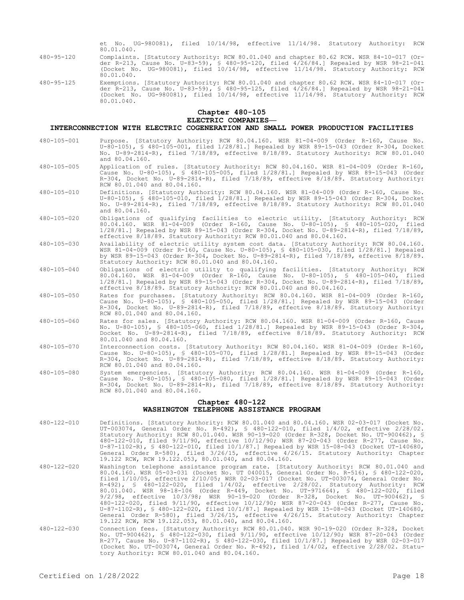et No. UG-980081), filed 10/14/98, effective 11/14/98. Statutory Authority: RCW 80.01.040.

- 480-95-120 Complaints. [Statutory Authority: RCW 80.01.040 and chapter 80.62 RCW. WSR 84-10-017 (Order R-213, Cause No. U-83-59), § 480-95-120, filed 4/26/84.] Repealed by WSR 98-21-041 (Docket No. UG-980081), filed 10/14/98, effective 11/14/98. Statutory Authority: RCW 80.01.040.
- 480-95-125 Exemptions. [Statutory Authority: RCW 80.01.040 and chapter 80.62 RCW. WSR 84-10-017 (Order R-213, Cause No. U-83-59), § 480-95-125, filed 4/26/84.] Repealed by WSR 98-21-041 (Docket No. UG-980081), filed 10/14/98, effective 11/14/98. Statutory Authority: RCW 80.01.040.

# **Chapter 480-105**

## **ELECTRIC COMPANIES—**

#### **INTERCONNECTION WITH ELECTRIC COGENERATION AND SMALL POWER PRODUCTION FACILITIES**

- 480-105-001 Purpose. [Statutory Authority: RCW 80.04.160. WSR 81-04-009 (Order R-160, Cause No. U-80-105), § 480-105-001, filed 1/28/81.] Repealed by WSR 89-15-043 (Order R-304, Docket No. U-89-2814-R), filed 7/18/89, effective 8/18/89. Statutory Authority: RCW 80.01.040 and 80.04.160.
- 480-105-005 Application of rules. [Statutory Authority: RCW 80.04.160. WSR 81-04-009 (Order R-160, Cause No. U-80-105), § 480-105-005, filed 1/28/81.] Repealed by WSR 89-15-043 (Order R-304, Docket No. U-89-2814-R), filed 7/18/89, effective 8/18/89. Statutory Authority: RCW 80.01.040 and 80.04.160.
- 480-105-010 Definitions. [Statutory Authority: RCW 80.04.160. WSR 81-04-009 (Order R-160, Cause No. U-80-105), § 480-105-010, filed 1/28/81.] Repealed by WSR 89-15-043 (Order R-304, Docket No. U-89-2814-R), filed 7/18/89, effective 8/18/89. Statutory Authority: RCW 80.01.040 and 80.04.160.
- 480-105-020 Obligations of qualifying facilities to electric utility. [Statutory Authority: RCW 80.04.160. WSR 81-04-009 (Order R-160, Cause No. U-80-105), § 480-105-020, filed 1/28/81.] Repealed by WSR 89-15-043 (Order R-304, Docket No. U-89-2814-R), filed 7/18/89, effective 8/18/89. Statutory Authority: RCW 80.01.040 and 80.04.160.
- 480-105-030 Availability of electric utility system cost data. [Statutory Authority: RCW 80.04.160. WSR 81-04-009 (Order R-160, Cause No. U-80-105), § 480-105-030, filed 1/28/81.] Repealed by WSR 89-15-043 (Order R-304, Docket No. U-89-2814-R), filed 7/18/89, effective 8/18/89. Statutory Authority: RCW 80.01.040 and 80.04.160.
- 480-105-040 Obligations of electric utility to qualifying facilities. [Statutory Authority: RCW 80.04.160. WSR 81-04-009 (Order R-160, Cause No. U-80-105), § 480-105-040, filed 1/28/81.] Repealed by WSR 89-15-043 (Order R-304, Docket No. U-89-2814-R), filed 7/18/89, effective 8/18/89. Statutory Authority: RCW 80.01.040 and 80.04.160.
- 480-105-050 Rates for purchases. [Statutory Authority: RCW 80.04.160. WSR 81-04-009 (Order R-160, Cause No. U-80-105), § 480-105-050, filed 1/28/81.] Repealed by WSR 89-15-043 (Order R-304, Docket No. U-89-2814-R), filed 7/18/89, effective 8/18/89. Statutory Authority: RCW 80.01.040 and 80.04.160.
- 480-105-060 Rates for sales. [Statutory Authority: RCW 80.04.160. WSR 81-04-009 (Order R-160, Cause No. U-80-105), § 480-105-060, filed 1/28/81.] Repealed by WSR 89-15-043 (Order R-304, Docket No. U-89-2814-R), filed 7/18/89, effective 8/18/89. Statutory Authority: RCW 80.01.040 and 80.04.160.
- 480-105-070 Interconnection costs. [Statutory Authority: RCW 80.04.160. WSR 81-04-009 (Order R-160, Cause No. U-80-105), § 480-105-070, filed 1/28/81.] Repealed by WSR 89-15-043 (Order R-304, Docket No. U-89-2814-R), filed 7/18/89, effective 8/18/89. Statutory Authority: RCW 80.01.040 and 80.04.160.
- 480-105-080 System emergencies. [Statutory Authority: RCW 80.04.160. WSR 81-04-009 (Order R-160, Cause No. U-80-105), § 480-105-080, filed 1/28/81.] Repealed by WSR 89-15-043 (Order R-304, Docket No. U-89-2814-R), filed 7/18/89, effective 8/18/89. Statutory Authority: RCW 80.01.040 and 80.04.160.

#### **Chapter 480-122 WASHINGTON TELEPHONE ASSISTANCE PROGRAM**

- 480-122-010 Definitions. [Statutory Authority: RCW 80.01.040 and 80.04.160. WSR 02-03-017 (Docket No. UT-003074, General Order No. R-492), § 480-122-010, filed 1/4/02, effective 2/28/02. Statutory Authority: RCW 80.01.040. WSR 90-19-020 (Order R-328, Docket No. UT-900462), § 480-122-010, filed 9/11/90, effective 10/12/90; WSR 87-20-043 (Order R-277, Cause No. U-87-1102-R), § 480-122-010, filed 10/1/87.] Repealed by WSR 15-08-043 (Docket UT-140680, General Order R-580), filed 3/26/15, effective 4/26/15. Statutory Authority: Chapter 19.122 RCW, RCW 19.122.053, 80.01.040, and 80.04.160.
- 480-122-020 Washington telephone assistance program rate. [Statutory Authority: RCW 80.01.040 and 80.04.160. WSR 05-03-031 (Docket No. UT 040015, General Order No. R-516), § 480-122-020, filed 1/10/05, effective 2/10/05; WSR 02-03-017 (Docket No. UT-003074, General Order No. R-492), § 480-122-020, filed 1/4/02, effective 2/28/02. Statutory Authority: RCW 80.01.040. WSR 98-18-106 (Order R-449, Docket No. UT-971664), § 480-122-020, filed 9/2/98, effective 10/3/98; WSR 90-19-020 (Order R-328, Docket No. UT-900462), \$<br>480-122-020, filed 9/11/90, effective 10/12/90; WSR 87-20-043 (Order R-277, Cause No.<br>U-87-1102-R), \$ 480-122-020, filed 10/1/87.] Repealed by General Order R-580), filed 3/26/15, effective 4/26/15. Statutory Authority: Chapter 19.122 RCW, RCW 19.122.053, 80.01.040, and 80.04.160.
- 480-122-030 Connection fees. [Statutory Authority: RCW 80.01.040. WSR 90-19-020 (Order R-328, Docket No. UT-900462), § 480-122-030, filed 9/11/90, effective 10/12/90; WSR 87-20-043 (Order R-277, Cause No. U-87-1102-R), § 480-122-030, filed 10/1/87.] Repealed by WSR 02-03-017 (Docket No. UT-003074, General Order No. R-492), filed 1/4/02, effective 2/28/02. Statutory Authority: RCW 80.01.040 and 80.04.160.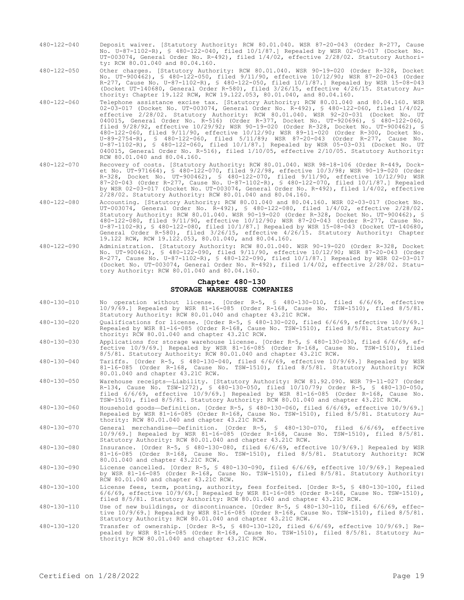480-122-040 Deposit waiver. [Statutory Authority: RCW 80.01.040. WSR 87-20-043 (Order R-277, Cause No. U-87-1102-R), § 480-122-040, filed 10/1/87.] Repealed by WSR 02-03-017 (Docket No. UT-003074, General Order No. R-492), filed 1/4/02, effective 2/28/02. Statutory Authority: RCW 80.01.040 and 80.04.160.

480-122-050 Other charges. [Statutory Authority: RCW 80.01.040. WSR 90-19-020 (Order R-328, Docket No. UT-900462), § 480-122-050, filed 9/11/90, effective 10/12/90; WSR 87-20-043 (Order R-277, Cause No. U-87-1102-R), § 480-122-050, filed 10/1/87.] Repealed by WSR 15-08-043 (Docket UT-140680, General Order R-580), filed 3/26/15, effective 4/26/15. Statutory Authority: Chapter 19.122 RCW, RCW 19.122.053, 80.01.040, and 80.04.160.

- 480-122-060 Telephone assistance excise tax. [Statutory Authority: RCW 80.01.040 and 80.04.160. WSR 02-03-017 (Docket No. UT-003074, General Order No. R-492), § 480-122-060, filed 1/4/02, effective 2/28/02. Statutory Authority: RCW 80.01.040. WSR 92-20-031 (Docket No. UT 040015, General Order No. R-516) (Order R-377, Docket No. UT-920696), § 480-122-060, filed 9/28/92, effective 10/29/92; WSR 90-19-020 (Order R-328, Docket No. UT-900462), § 480-122-060, filed 9/11/90, effective 10/12/90; WSR 89-11-020 (Order R-300, Docket No. U-89-2754-R), § 480-122-060, filed 5/11/89; WSR 87-20-043 (Order R-277, Cause No. U-87-1102-R), § 480-122-060, filed 10/1/87.] Repealed by WSR 05-03-031 (Docket No. UT 040015, General Order No. R-516), filed 1/10/05, effective 2/10/05. Statutory Authority: RCW 80.01.040 and 80.04.160.
- 480-122-070 Recovery of costs. [Statutory Authority: RCW 80.01.040. WSR 98-18-106 (Order R-449, Docket No. UT-971664), § 480-122-070, filed 9/2/98, effective 10/3/98; WSR 90-19-020 (Order R-328, Docket No. UT-900462), § 480-122-070, filed 9/11/90, effective 10/12/90; WSR 87-20-043 (Order R-277, Cause No. U-87-1102-R), § 480-122-070, filed 10/1/87.] Repealed by WSR 02-03-017 (Docket No. UT-003074, General Order No. R-492), filed 1/4/02, effective 2/28/02. Statutory Authority: RCW 80.01.040 and 80.04.160.
- 480-122-080 Accounting. [Statutory Authority: RCW 80.01.040 and 80.04.160. WSR 02-03-017 (Docket No. UT-003074, General Order No. R-492), § 480-122-080, filed 1/4/02, effective 2/28/02. Statutory Authority: RCW 80.01.040. WSR 90-19-020 (Order R-328, Docket No. UT-900462), § 480-122-080, filed 9/11/90, effective 10/12/90; WSR 87-20-043 (Order R-277, Cause No. U-87-1102-R), § 480-122-080, filed 10/1/87.] Repealed by WSR 15-08-043 (Docket UT-140680, General Order R-580), filed 3/26/15, effective 4/26/15. Statutory Authority: Chapter 19.122 RCW, RCW 19.122.053, 80.01.040, and 80.04.160.
- 480-122-090 Administration. [Statutory Authority: RCW 80.01.040. WSR 90-19-020 (Order R-328, Docket No. UT-900462), § 480-122-090, filed 9/11/90, effective 10/12/90; WSR 87-20-043 (Order R-277, Cause No. U-87-1102-R), § 480-122-090, filed 10/1/87.] Repealed by WSR 02-03-017 (Docket No. UT-003074, General Order No. R-492), filed 1/4/02, effective 2/28/02. Statutory Authority: RCW 80.01.040 and 80.04.160.

#### **Chapter 480-130 STORAGE WAREHOUSE COMPANIES**

- 480-130-010 No operation without license. [Order R-5, § 480-130-010, filed 6/6/69, effective 10/9/69.] Repealed by WSR 81-16-085 (Order R-168, Cause No. TSW-1510), filed 8/5/81. Statutory Authority: RCW 80.01.040 and chapter 43.21C RCW.
- 480-130-020 Qualifications for license. [Order R-5, § 480-130-020, filed 6/6/69, effective 10/9/69.] Repealed by WSR 81-16-085 (Order R-168, Cause No. TSW-1510), filed 8/5/81. Statutory Authority: RCW 80.01.040 and chapter 43.21C RCW.
- 480-130-030 Applications for storage warehouse license. [Order R-5, § 480-130-030, filed 6/6/69, effective 10/9/69.] Repealed by WSR 81-16-085 (Order R-168, Cause No. TSW-1510), filed 8/5/81. Statutory Authority: RCW 80.01.040 and chapter 43.21C RCW.
- 480-130-040 Tariffs. [Order R-5, § 480-130-040, filed 6/6/69, effective 10/9/69.] Repealed by WSR 81-16-085 (Order R-168, Cause No. TSW-1510), filed 8/5/81. Statutory Authority: RCW 80.01.040 and chapter 43.21C RCW.
- 480-130-050 Warehouse receipts—Liability. [Statutory Authority: RCW 81.92.090. WSR 79-11-027 (Order R-134, Cause No. TSW-1272), § 480-130-050, filed 10/10/79; Order R-5, § 480-130-050, filed 6/6/69, effective 10/9/69.] Repealed by WSR 81-16-085 (Order R-168, Cause No. TSW-1510), filed 8/5/81. Statutory Authority: RCW 80.01.040 and chapter 43.21C RCW.
- 480-130-060 Household goods—Definition. [Order R-5, § 480-130-060, filed 6/6/69, effective 10/9/69.] Repealed by WSR 81-16-085 (Order R-168, Cause No. TSW-1510), filed 8/5/81. Statutory Authority: RCW 80.01.040 and chapter 43.21C RCW.
- 480-130-070 General merchandise—Definition. [Order R-5, § 480-130-070, filed 6/6/69, effective 10/9/69.] Repealed by WSR 81-16-085 (Order R-168, Cause No. TSW-1510), filed 8/5/81. Statutory Authority: RCW 80.01.040 and chapter 43.21C RCW.
- 480-130-080 Insurance. [Order R-5, § 480-130-080, filed 6/6/69, effective 10/9/69.] Repealed by WSR 81-16-085 (Order R-168, Cause No. TSW-1510), filed 8/5/81. Statutory Authority: RCW 80.01.040 and chapter 43.21C RCW.
- 480-130-090 License cancelled. [Order R-5, § 480-130-090, filed 6/6/69, effective 10/9/69.] Repealed by WSR 81-16-085 (Order R-168, Cause No. TSW-1510), filed 8/5/81. Statutory Authority: RCW 80.01.040 and chapter 43.21C RCW.
- 480-130-100 License fees, term, posting, authority, fees forfeited. [Order R-5, § 480-130-100, filed 6/6/69, effective 10/9/69.] Repealed by WSR 81-16-085 (Order R-168, Cause No. TSW-1510), filed 8/5/81. Statutory Authority: RCW 80.01.040 and chapter 43.21C RCW.
- 480-130-110 Use of new buildings, or discontinuance. [Order R-5, § 480-130-110, filed 6/6/69, effec-tive 10/9/69.] Repealed by WSR 81-16-085 (Order R-168, Cause No. TSW-1510), filed 8/5/81. Statutory Authority: RCW 80.01.040 and chapter 43.21C RCW.
- 480-130-120 Transfer of ownership. [Order R-5, § 480-130-120, filed 6/6/69, effective 10/9/69.] Re-pealed by WSR 81-16-085 (Order R-168, Cause No. TSW-1510), filed 8/5/81. Statutory Authority: RCW 80.01.040 and chapter 43.21C RCW.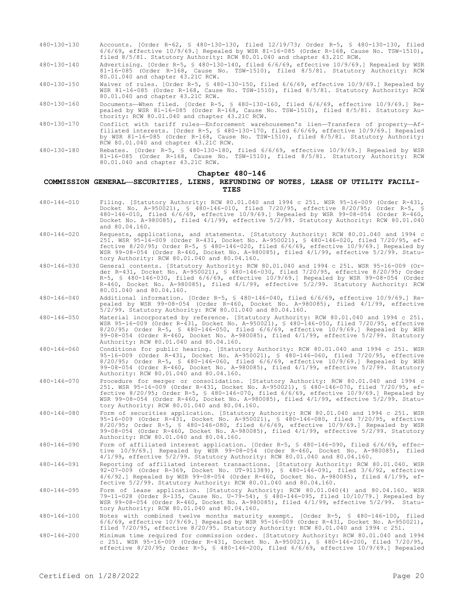- 480-130-130 Accounts. [Order R-62, § 480-130-130, filed 12/19/73; Order R-5, § 480-130-130, filed 6/6/69, effective 10/9/69.] Repealed by WSR 81-16-085 (Order R-168, Cause No. TSW-1510), filed 8/5/81. Statutory Authority: RCW 80.01.040 and chapter 43.21C RCW.
- 480-130-140 Advertising. [Order R-5, § 480-130-140, filed 6/6/69, effective 10/9/69.] Repealed by WSR 81-16-085 (Order R-168, Cause No. TSW-1510), filed 8/5/81. Statutory Authority: RCW 80.01.040 and chapter 43.21C RCW.
- 480-130-150 Waiver of rules. [Order R-5, § 480-130-150, filed 6/6/69, effective 10/9/69.] Repealed by WSR 81-16-085 (Order R-168, Cause No. TSW-1510), filed 8/5/81. Statutory Authority: RCW 80.01.040 and chapter 43.21C RCW.
- 480-130-160 Documents—When filed. [Order R-5, § 480-130-160, filed 6/6/69, effective 10/9/69.] Repealed by WSR 81-16-085 (Order R-168, Cause No. TSW-1510), filed 8/5/81. Statutory Authority: RCW 80.01.040 and chapter 43.21C RCW.
- 480-130-170 Conflict with tariff rules—Enforcement warehousemen's lien—Transfers of property—Affiliated interests. [Order R-5, § 480-130-170, filed 6/6/69, effective 10/9/69.] Repealed by WSR 81-16-085 (Order R-168, Cause No. TSW-1510), filed 8/5/81. Statutory Authority: RCW 80.01.040 and chapter 43.21C RCW.
- 480-130-180 Rebates. [Order R-5, § 480-130-180, filed 6/6/69, effective 10/9/69.] Repealed by WSR 81-16-085 (Order R-168, Cause No. TSW-1510), filed 8/5/81. Statutory Authority: RCW 80.01.040 and chapter 43.21C RCW.

## **Chapter 480-146**

#### **COMMISSION GENERAL—SECURITIES, LIENS, REFUNDING OF NOTES, LEASE OF UTILITY FACILI-TIES**

- 480-146-010 Filing. [Statutory Authority: RCW 80.01.040 and 1994 c 251. WSR 95-16-009 (Order R-431, Docket No. A-950021), § 480-146-010, filed 7/20/95, effective 8/20/95; Order R-5, § 480-146-010, filed 6/6/69, effective 10/9/69.] Repealed by WSR 99-08-054 (Order R-460, Docket No. A-980085), filed 4/1/99, effective 5/2/99. Statutory Authority: RCW 80.01.040 and 80.04.160.
- 480-146-020 Requests, applications, and statements. [Statutory Authority: RCW 80.01.040 and 1994 c 251. WSR 95-16-009 (Order R-431, Docket No. A-950021), § 480-146-020, filed 7/20/95, effective 8/20/95; Order R-5, § 480-146-020, filed 6/6/69, effective 10/9/69.] Repealed by WSR 99-08-054 (Order R-460, Docket No. A-980085), filed 4/1/99, effective 5/2/99. Statutory Authority: RCW 80.01.040 and 80.04.160.
- 480-146-030 General contents. [Statutory Authority: RCW 80.01.040 and 1994 c 251. WSR 95-16-009 (Order R-431, Docket No. A-950021), § 480-146-030, filed 7/20/95, effective 8/20/95; Order R-5, § 480-146-030, filed 6/6/69, effective 10/9/69.] Repealed by WSR 99-08-054 (Order R-460, Docket No. A-980085), filed 4/1/99, effective 5/2/99. Statutory Authority: RCW 80.01.040 and 80.04.160.
- 480-146-040 Additional information. [Order R-5, § 480-146-040, filed 6/6/69, effective 10/9/69.] Repealed by WSR 99-08-054 (Order R-460, Docket No. A-980085), filed 4/1/99, effective 5/2/99. Statutory Authority: RCW 80.01.040 and 80.04.160.
- 480-146-050 Material incorporated by reference. [Statutory Authority: RCW 80.01.040 and 1994 c 251. WSR 95-16-009 (Order R-431, Docket No. A-950021), § 480-146-050, filed 7/20/95, effective 8/20/95; Order R-5, § 480-146-050, filed 6/6/69, effective 10/9/69.] Repealed by WSR 99-08-054 (Order R-460, Docket No. A-980085), filed 4/1/99, effective 5/2/99. Statutory Authority: RCW 80.01.040 and 80.04.160.
- 480-146-060 Conditions for public hearing. [Statutory Authority: RCW 80.01.040 and 1994 c 251. WSR 95-16-009 (Order R-431, Docket No. A-950021), § 480-146-060, filed 7/20/95, effective 8/20/95; Order R-5, § 480-146-060, filed 6/6/69, effective 10/9/69.] Repealed by WSR 99-08-054 (Order R-460, Docket No. A-980085), filed 4/1/99, effective 5/2/99. Statutory Authority: RCW 80.01.040 and 80.04.160.
- 480-146-070 Procedure for merger or consolidation. [Statutory Authority: RCW 80.01.040 and 1994 c 251. WSR 95-16-009 (Order R-431, Docket No. A-950021), § 480-146-070, filed 7/20/95, effective 8/20/95; Order R-5, § 480-146-070, filed 6/6/69, effective 10/9/69.] Repealed by WSR 99-08-054 (Order R-460, Docket No. A-980085), filed 4/1/99, effective 5/2/99. Statutory Authority: RCW 80.01.040 and 80.04.160.
- 480-146-080 Form of securities application. [Statutory Authority: RCW 80.01.040 and 1994 c 251. WSR 95-16-009 (Order R-431, Docket No. A-950021), § 480-146-080, filed 7/20/95, effective 8/20/95; Order R-5, § 480-146-080, filed 6/6/69, effective 10/9/69.] Repealed by WSR 99-08-054 (Order R-460, Docket No. A-980085), filed 4/1/99, effective 5/2/99. Statutory Authority: RCW 80.01.040 and 80.04.160.
- 480-146-090 Form of affiliated interest application. [Order R-5, § 480-146-090, filed 6/6/69, effective 10/9/69.] Repealed by WSR 99-08-054 (Order R-460, Docket No. A-980085), filed 4/1/99, effective 5/2/99. Statutory Authority: RCW 80.01.040 and 80.04.160.
- 480-146-091 Reporting of affiliated interest transactions. [Statutory Authority: RCW 80.01.040. WSR 92-07-009 (Order R-369, Docket No. UT-911389), § 480-146-091, filed 3/6/92, effective 4/6/92.] Repealed by WSR 99-08-054 (Order R-460, Docket No. A-980085), filed 4/1/99, effective 5/2/99. Statutory Authority: RCW 80.01.040 and 80.04.160.
- 480-146-095 Form of lease application. [Statutory Authority: RCW 80.01.040(4) and 80.04.160. WSR 79-11-028 (Order R-135, Cause No. U-79-54), § 480-146-095, filed 10/10/79.] Repealed by WSR 99-08-054 (Order R-460, Docket No. A-980085), filed 4/1/99, effective 5/2/99. Statutory Authority: RCW 80.01.040 and 80.04.160.
- 480-146-100 Notes with combined twelve months maturity exempt. [Order R-5, § 480-146-100, filed 6/6/69, effective 10/9/69.] Repealed by WSR 95-16-009 (Order R-431, Docket No. A-950021), filed 7/20/95, effective 8/20/95. Statutory Authority: RCW 80.01.040 and 1994 c 251.
- 480-146-200 Minimum time required for commission order. [Statutory Authority: RCW 80.01.040 and 1994 c 251. WSR 95-16-009 (Order R-431, Docket No. A-950021), § 480-146-200, filed 7/20/95, effective 8/20/95; Order R-5, § 480-146-200, filed 6/6/69, effective 10/9/69.] Repealed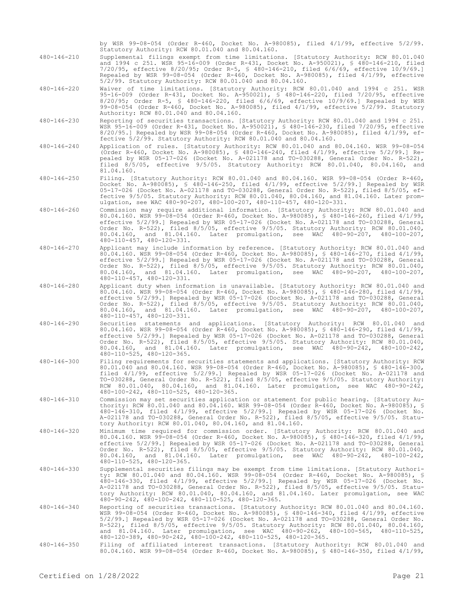by WSR 99-08-054 (Order R-460, Docket No. A-980085), filed 4/1/99, effective 5/2/99. Statutory Authority: RCW 80.01.040 and 80.04.160. 480-146-210 Supplemental filings exempt from time limitations. [Statutory Authority: RCW 80.01.040

and 1994 c 251. WSR 95-16-009 (Order R-431, Docket No. A-950021), § 480-146-210, filed 7/20/95, effective 8/20/95; Order R-5, § 480-146-210, filed 6/6/69, effective 10/9/69.] Repealed by WSR 99-08-054 (Order R-460, Docket No. A-980085), filed 4/1/99, effective 5/2/99. Statutory Authority: RCW 80.01.040 and 80.04.160.

480-146-220 Waiver of time limitations. [Statutory Authority: RCW 80.01.040 and 1994 c 251. WSR 95-16-009 (Order R-431, Docket No. A-950021), § 480-146-220, filed 7/20/95, effective 8/20/95; Order R-5, § 480-146-220, filed 6/6/69, effective 10/9/69.] Repealed by WSR 99-08-054 (Order R-460, Docket No. A-980085), filed 4/1/99, effective 5/2/99. Statutory Authority: RCW 80.01.040 and 80.04.160.

480-146-230 Reporting of securities transactions. [Statutory Authority: RCW 80.01.040 and 1994 c 251. WSR 95-16-009 (Order R-431, Docket No. A-950021), § 480-146-230, filed 7/20/95, effective 8/20/95.] Repealed by WSR 99-08-054 (Order R-460, Docket No. A-980085), filed 4/1/99, effective 5/2/99. Statutory Authority: RCW 80.01.040 and 80.04.160.

480-146-240 Application of rules. [Statutory Authority: RCW 80.01.040 and 80.04.160. WSR 99-08-054 (Order R-460, Docket No. A-980085), § 480-146-240, filed 4/1/99, effective 5/2/99.] Repealed by WSR 05-17-026 (Docket No. A-021178 and TO-030288, General Order No. R-522), filed 8/5/05, effective 9/5/05. Statutory Authority: RCW 80.01.040, 80.04.160, and 81.04.160.

480-146-250 Filing. [Statutory Authority: RCW 80.01.040 and 80.04.160. WSR 99-08-054 (Order R-460, Docket No. A-980085), § 480-146-250, filed 4/1/99, effective 5/2/99.] Repealed by WSR 05-17-026 (Docket No. A-021178 and TO-030288, General Order No. R-522), filed 8/5/05, effective 9/5/05. Statutory Authority: RCW 80.01.040, 80.04.160, and 81.04.160. Later promulgation, see WAC 480-90-207, 480-100-207, 480-110-457, 480-120-331.

- 480-146-260 Commission may require additional information. [Statutory Authority: RCW 80.01.040 and 80.04.160. WSR 99-08-054 (Order R-460, Docket No. A-980085), § 480-146-260, filed 4/1/99, effective 5/2/99.] Repealed by WSR 05-17-026 (Docket No. A-021178 and TO-030288, General Order No. R-522), filed 8/5/05, effective 9/5/05. Statutory Authority: RCW 80.01.040, 80.04.160, and 81.04.160. Later promulgation, see WAC 480-90-207, 480-100-207, 480-110-457, 480-120-331.
- 480-146-270 Applicant may include information by reference. [Statutory Authority: RCW 80.01.040 and 80.04.160. WSR 99-08-054 (Order R-460, Docket No. A-980085), § 480-146-270, filed 4/1/99, effective 5/2/99.] Repealed by WSR 05-17-026 (Docket No. A-021178 and TO-030288, General Order No. R-522), filed 8/5/05, effective 9/5/05. Statutory Authority: RCW 80.01.040, 80.04.160, and 81.04.160. Later promulgation, see WAC 480-90-207, 480-100-207, 480-110-457, 480-120-331.
- 480-146-280 Applicant duty when information is unavailable. [Statutory Authority: RCW 80.01.040 and 80.04.160. WSR 99-08-054 (Order R-460, Docket No. A-980085), § 480-146-280, filed 4/1/99, effective 5/2/99.] Repealed by WSR 05-17-026 (Docket No. A-021178 and TO-030288, General Order No. R-522), filed 8/5/05, effective 9/5/05. Statutory Authority: RCW 80.01.040, 80.04.160, and 81.04.160. Later promulgation, see WAC 480-90-207, 480-100-207, 480-110-457, 480-120-331.
- 480-146-290 Securities statements and applications. [Statutory Authority: RCW 80.01.040 and 80.04.160. WSR 99-08-054 (Order R-460, Docket No. A-980085), § 480-146-290, filed 4/1/99, effective 5/2/99.] Repealed by WSR 05-17-026 (Docket No. A-021178 and TO-030288, General Order No. R-522), filed 8/5/05, effective 9/5/05. Statutory Authority: RCW 80.01.040, 80.04.160, and 81.04.160. Later promulgation, see WAC 480-90-242, 480-100-242, 480-110-525, 480-120-365.
- 480-146-300 Filing requirements for securities statements and applications. [Statutory Authority: RCW 80.01.040 and 80.04.160. WSR 99-08-054 (Order R-460, Docket No. A-980085), § 480-146-300, filed 4/1/99, effective 5/2/99.] Repealed by WSR 05-17-026 (Docket No. A-021178 and TO-030288, General Order No. R-522), filed 8/5/05, effective 9/5/05. Statutory Authority: RCW 80.01.040, 80.04.160, and 81.04.160. Later promulgation, see WAC 480-90-242, 480-100-242, 480-110-525, 480-120-365.
- 480-146-310 Commission may set securities application or statement for public hearing. [Statutory Authority: RCW 80.01.040 and 80.04.160. WSR 99-08-054 (Order R-460, Docket No. A-980085), § 480-146-310, filed 4/1/99, effective 5/2/99.] Repealed by WSR 05-17-026 (Docket No. A-021178 and TO-030288, General Order No. R-522), filed 8/5/05, effective 9/5/05. Statutory Authority: RCW 80.01.040, 80.04.160, and 81.04.160.
- 480-146-320 Minimum time required for commission order. [Statutory Authority: RCW 80.01.040 and 80.04.160. WSR 99-08-054 (Order R-460, Docket No. A-980085), § 480-146-320, filed 4/1/99, effective 5/2/99.] Repealed by WSR 05-17-026 (Docket No. A-021178 and TO-030288, General Order No. R-522), filed 8/5/05, effective 9/5/05. Statutory Authority: RCW 80.01.040, 80.04.160, and 81.04.160. Later promulgation, see WAC 480-90-242, 480-100-242, 480-110-525, 480-120-365.
- 480-146-330 Supplemental securities filings may be exempt from time limitations. [Statutory Authority: RCW 80.01.040 and 80.04.160. WSR 99-08-054 (Order R-460, Docket No. A-980085), § 480-146-330, filed 4/1/99, effective 5/2/99.] Repealed by WSR 05-17-026 (Docket No. A-021178 and TO-030288, General Order No. R-522), filed 8/5/05, effective 9/5/05. Statutory Authority: RCW 80.01.040, 80.04.160, and 81.04.160. Later promulgation, see WAC 480-90-242, 480-100-242, 480-110-525, 480-120-365.

480-146-340 Reporting of securities transactions. [Statutory Authority: RCW 80.01.040 and 80.04.160. WSR 99-08-054 (Order R-460, Docket No. A-980085), § 480-146-340, filed 4/1/99, effective 5/2/99.] Repealed by WSR 05-17-026 (Docket No. A-021178 and TO-030288, General Order No. R-522), filed 8/5/05, effective 9/5/05. Statutory Authority: RCW 80.01.040, 80.04.160, and 81.04.160. Later promulgation, see WAC 480-90-262, 480-100-565, 480-110-525, 480-120-389, 480-90-242, 480-100-242, 480-110-525, 480-120-365.

480-146-350 Filing of affiliated interest transactions. [Statutory Authority: RCW 80.01.040 and 80.04.160. WSR 99-08-054 (Order R-460, Docket No. A-980085), § 480-146-350, filed 4/1/99,